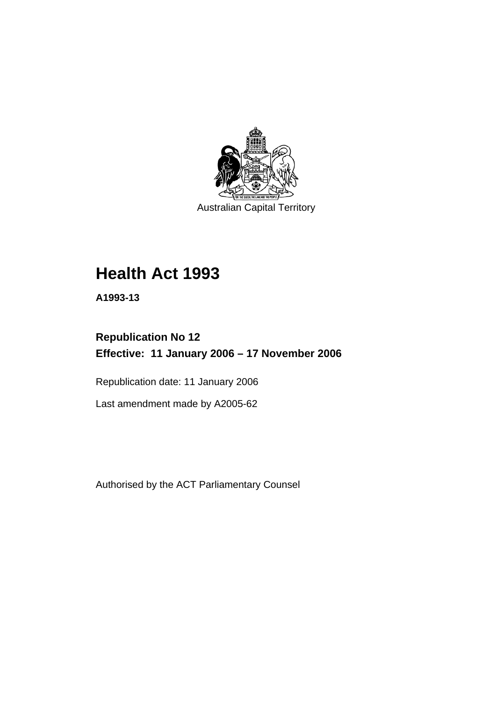

Australian Capital Territory

# **Health Act 1993**

**A1993-13** 

# **Republication No 12 Effective: 11 January 2006 – 17 November 2006**

Republication date: 11 January 2006

Last amendment made by A2005-62

Authorised by the ACT Parliamentary Counsel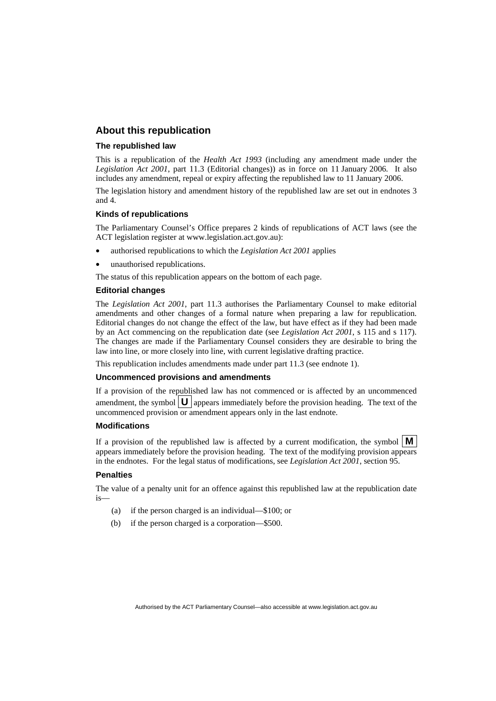#### **About this republication**

#### **The republished law**

This is a republication of the *Health Act 1993* (including any amendment made under the *Legislation Act 2001*, part 11.3 (Editorial changes)) as in force on 11 January 2006*.* It also includes any amendment, repeal or expiry affecting the republished law to 11 January 2006.

The legislation history and amendment history of the republished law are set out in endnotes 3 and 4.

#### **Kinds of republications**

The Parliamentary Counsel's Office prepares 2 kinds of republications of ACT laws (see the ACT legislation register at www.legislation.act.gov.au):

- authorised republications to which the *Legislation Act 2001* applies
- unauthorised republications.

The status of this republication appears on the bottom of each page.

#### **Editorial changes**

The *Legislation Act 2001*, part 11.3 authorises the Parliamentary Counsel to make editorial amendments and other changes of a formal nature when preparing a law for republication. Editorial changes do not change the effect of the law, but have effect as if they had been made by an Act commencing on the republication date (see *Legislation Act 2001*, s 115 and s 117). The changes are made if the Parliamentary Counsel considers they are desirable to bring the law into line, or more closely into line, with current legislative drafting practice.

This republication includes amendments made under part 11.3 (see endnote 1).

#### **Uncommenced provisions and amendments**

If a provision of the republished law has not commenced or is affected by an uncommenced amendment, the symbol  $\mathbf{U}$  appears immediately before the provision heading. The text of the uncommenced provision or amendment appears only in the last endnote.

#### **Modifications**

If a provision of the republished law is affected by a current modification, the symbol  $\mathbf{M}$ appears immediately before the provision heading. The text of the modifying provision appears in the endnotes. For the legal status of modifications, see *Legislation Act 2001*, section 95.

#### **Penalties**

The value of a penalty unit for an offence against this republished law at the republication date is—

- (a) if the person charged is an individual—\$100; or
- (b) if the person charged is a corporation—\$500.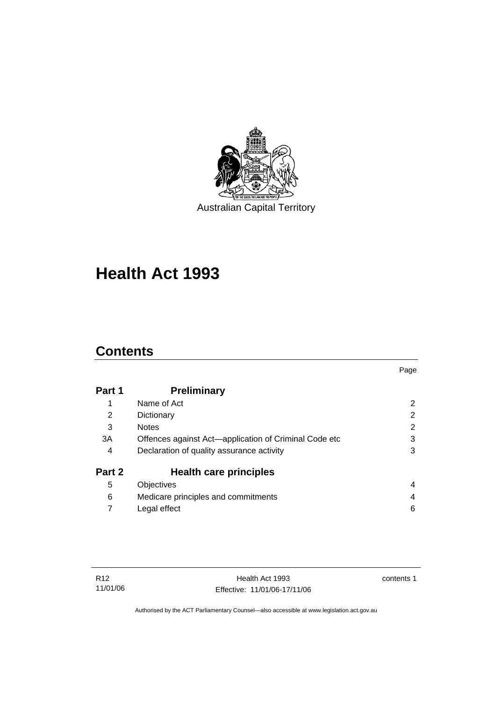

**Health Act 1993** 

# **Contents**

| Part 1 | <b>Preliminary</b>                                    |   |
|--------|-------------------------------------------------------|---|
| 1      | Name of Act                                           | 2 |
| 2      | Dictionary                                            | 2 |
| 3      | <b>Notes</b>                                          | 2 |
| 3A     | Offences against Act-application of Criminal Code etc | 3 |
| 4      | Declaration of quality assurance activity             | 3 |
| Part 2 | <b>Health care principles</b>                         |   |
| 5      | <b>Objectives</b>                                     | 4 |
| 6      | Medicare principles and commitments                   | 4 |
|        | Legal effect                                          | 6 |
|        |                                                       |   |

contents 1

Page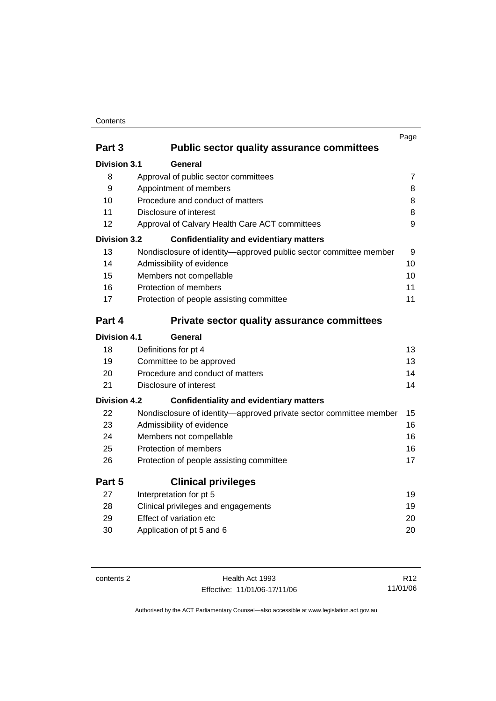## Contents

|                     |                                                                    | Page           |
|---------------------|--------------------------------------------------------------------|----------------|
| Part 3              | <b>Public sector quality assurance committees</b>                  |                |
| <b>Division 3.1</b> | General                                                            |                |
| 8                   | Approval of public sector committees                               | $\overline{7}$ |
| 9                   | Appointment of members                                             | 8              |
| 10                  | Procedure and conduct of matters                                   | 8              |
| 11                  | Disclosure of interest                                             | 8              |
| 12                  | Approval of Calvary Health Care ACT committees                     | 9              |
| <b>Division 3.2</b> | <b>Confidentiality and evidentiary matters</b>                     |                |
| 13                  | Nondisclosure of identity-approved public sector committee member  | 9              |
| 14                  | Admissibility of evidence                                          | 10             |
| 15                  | Members not compellable                                            | 10             |
| 16                  | Protection of members                                              | 11             |
| 17                  | Protection of people assisting committee                           | 11             |
| Part 4              | <b>Private sector quality assurance committees</b>                 |                |
| <b>Division 4.1</b> | General                                                            |                |
| 18                  | Definitions for pt 4                                               | 13             |
| 19                  | Committee to be approved                                           | 13             |
| 20                  | Procedure and conduct of matters                                   | 14             |
| 21                  | Disclosure of interest                                             | 14             |
| <b>Division 4.2</b> | <b>Confidentiality and evidentiary matters</b>                     |                |
| 22                  | Nondisclosure of identity-approved private sector committee member | 15             |
| 23                  | Admissibility of evidence                                          | 16             |
| 24                  | Members not compellable                                            | 16             |
| 25                  | Protection of members                                              | 16             |
| 26                  | Protection of people assisting committee                           | 17             |
| Part 5              | <b>Clinical privileges</b>                                         |                |
| 27                  | Interpretation for pt 5                                            | 19             |
| 28                  | Clinical privileges and engagements                                | 19             |
| 29                  | Effect of variation etc                                            | 20             |
| 30                  | Application of pt 5 and 6                                          | 20             |
|                     |                                                                    |                |

| contents 2 |  |  |
|------------|--|--|
|------------|--|--|

Health Act 1993 Effective: 11/01/06-17/11/06

R12 11/01/06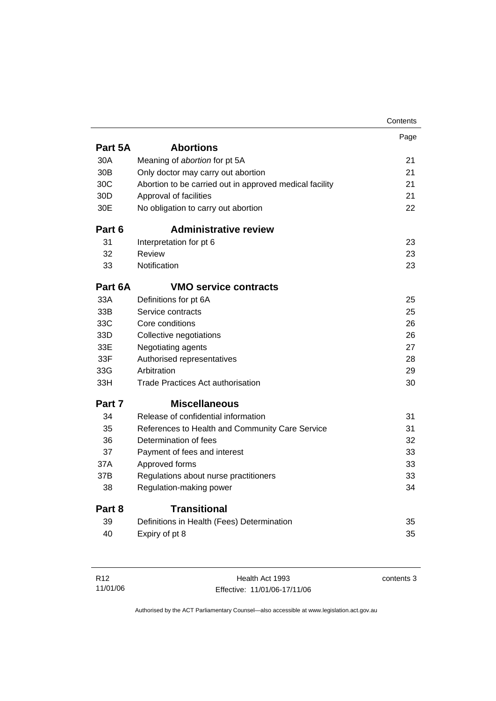|                 |                                                         | Contents |
|-----------------|---------------------------------------------------------|----------|
|                 |                                                         | Page     |
| Part 5A         | <b>Abortions</b>                                        |          |
| 30A             | Meaning of abortion for pt 5A                           | 21       |
| 30 <sub>B</sub> | Only doctor may carry out abortion                      | 21       |
| 30C             | Abortion to be carried out in approved medical facility | 21       |
| 30 <sub>D</sub> | Approval of facilities                                  | 21       |
| 30E             | No obligation to carry out abortion                     | 22       |
| Part 6          | <b>Administrative review</b>                            |          |
| 31              | Interpretation for pt 6                                 | 23       |
| 32              | Review                                                  | 23       |
| 33              | Notification                                            | 23       |
| Part 6A         | <b>VMO service contracts</b>                            |          |
| 33A             | Definitions for pt 6A                                   | 25       |
| 33B             | Service contracts                                       | 25       |
| 33C             | Core conditions                                         | 26       |
| 33D             | Collective negotiations                                 | 26       |
| 33E             | Negotiating agents                                      | 27       |
| 33F             | Authorised representatives                              | 28       |
| 33G             | Arbitration                                             | 29       |
| 33H             | <b>Trade Practices Act authorisation</b>                | 30       |
| Part 7          | <b>Miscellaneous</b>                                    |          |
| 34              | Release of confidential information                     | 31       |
| 35              | References to Health and Community Care Service         | 31       |
| 36              | Determination of fees                                   | 32       |
| 37              | Payment of fees and interest                            | 33       |
| 37A             | Approved forms                                          | 33       |
| 37B             | Regulations about nurse practitioners                   | 33       |
| 38              | Regulation-making power                                 | 34       |
| Part 8          | <b>Transitional</b>                                     |          |
| 39              | Definitions in Health (Fees) Determination              | 35       |
| 40              | Expiry of pt 8                                          | 35       |
|                 |                                                         |          |

| R12      | Health Act 1993              | contents 3 |
|----------|------------------------------|------------|
| 11/01/06 | Effective: 11/01/06-17/11/06 |            |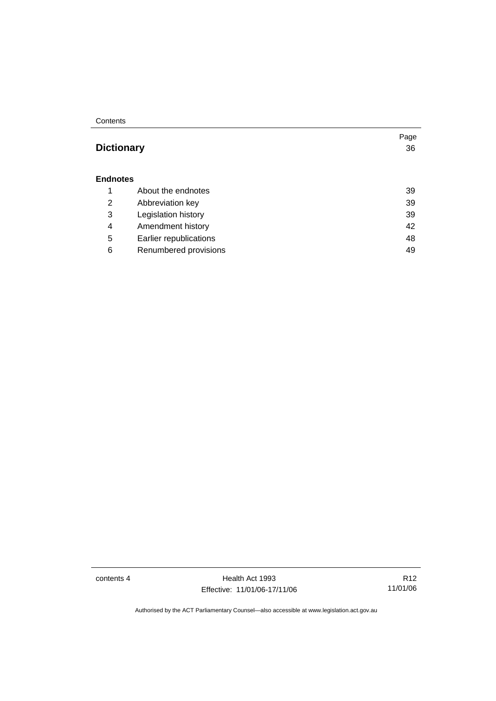#### Contents

## **Dictionary** 36

#### **Endnotes**

|   | About the endnotes     | 39 |
|---|------------------------|----|
| 2 | Abbreviation key       | 39 |
| 3 | Legislation history    | 39 |
| 4 | Amendment history      | 42 |
| 5 | Earlier republications | 48 |
| 6 | Renumbered provisions  | 49 |

contents 4 Health Act 1993 Effective: 11/01/06-17/11/06

R12 11/01/06

Page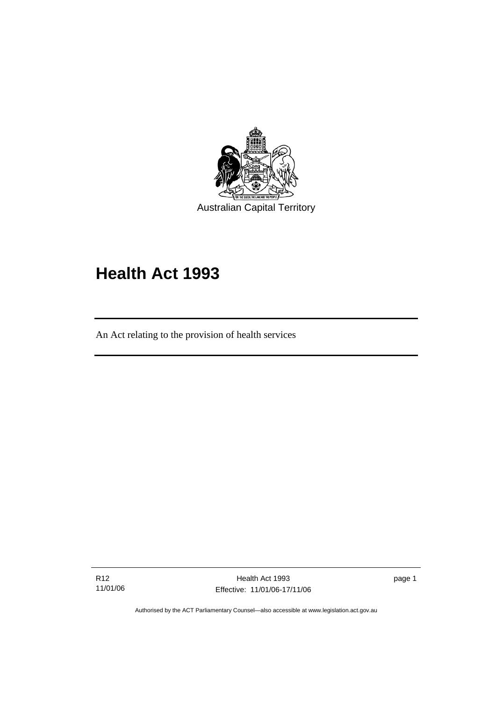

# **Health Act 1993**

An Act relating to the provision of health services

R12 11/01/06

Ī

Health Act 1993 Effective: 11/01/06-17/11/06

page 1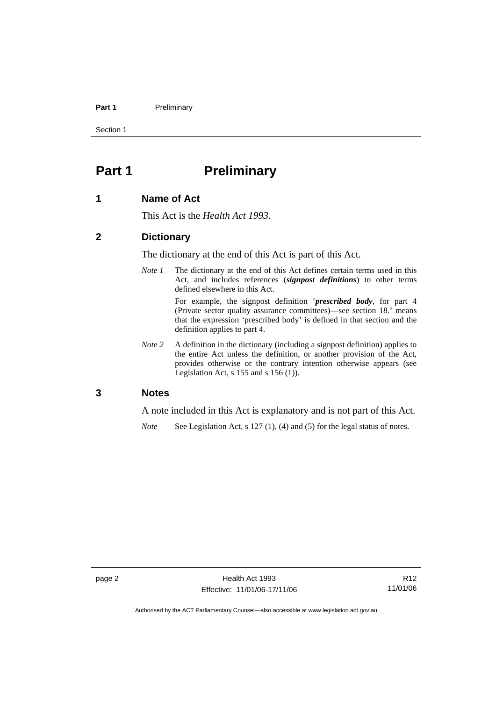#### Part 1 **Preliminary**

Section 1

# **Part 1** Preliminary

#### **1 Name of Act**

This Act is the *Health Act 1993*.

#### **2 Dictionary**

The dictionary at the end of this Act is part of this Act.

*Note 1* The dictionary at the end of this Act defines certain terms used in this Act, and includes references (*signpost definitions*) to other terms defined elsewhere in this Act.

> For example, the signpost definition '*prescribed body*, for part 4 (Private sector quality assurance committees)—see section 18.' means that the expression 'prescribed body' is defined in that section and the definition applies to part 4.

*Note 2* A definition in the dictionary (including a signpost definition) applies to the entire Act unless the definition, or another provision of the Act, provides otherwise or the contrary intention otherwise appears (see Legislation Act,  $s$  155 and  $s$  156 (1)).

#### **3 Notes**

A note included in this Act is explanatory and is not part of this Act.

*Note* See Legislation Act, s 127 (1), (4) and (5) for the legal status of notes.

R12 11/01/06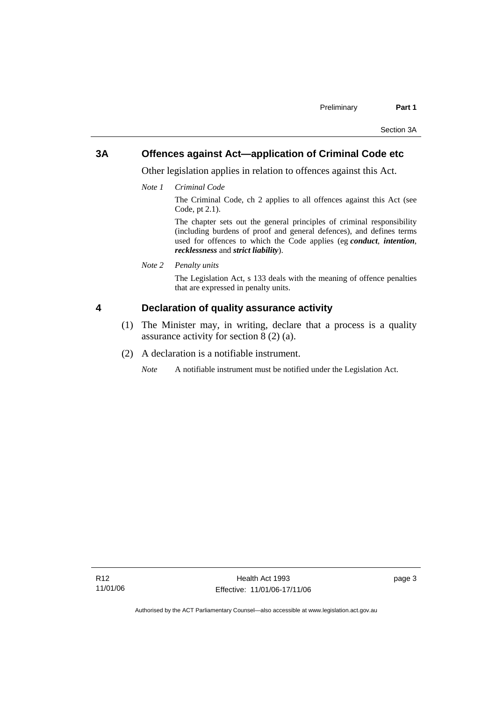## **3A Offences against Act—application of Criminal Code etc**

Other legislation applies in relation to offences against this Act.

*Note 1 Criminal Code*

The Criminal Code, ch 2 applies to all offences against this Act (see Code, pt 2.1).

The chapter sets out the general principles of criminal responsibility (including burdens of proof and general defences), and defines terms used for offences to which the Code applies (eg *conduct*, *intention*, *recklessness* and *strict liability*).

*Note 2 Penalty units* 

The Legislation Act, s 133 deals with the meaning of offence penalties that are expressed in penalty units.

## **4 Declaration of quality assurance activity**

- (1) The Minister may, in writing, declare that a process is a quality assurance activity for section 8 (2) (a).
- (2) A declaration is a notifiable instrument.

*Note* A notifiable instrument must be notified under the Legislation Act.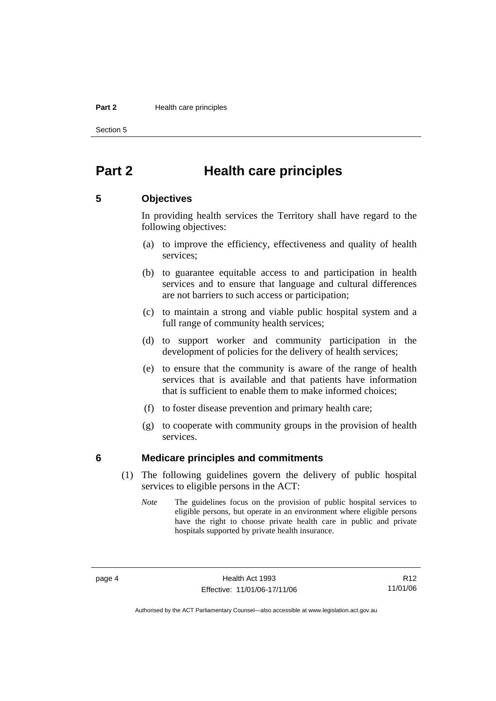#### **Part 2 Health care principles**

Section 5

## **Part 2 Health care principles**

#### **5 Objectives**

In providing health services the Territory shall have regard to the following objectives:

- (a) to improve the efficiency, effectiveness and quality of health services;
- (b) to guarantee equitable access to and participation in health services and to ensure that language and cultural differences are not barriers to such access or participation;
- (c) to maintain a strong and viable public hospital system and a full range of community health services;
- (d) to support worker and community participation in the development of policies for the delivery of health services;
- (e) to ensure that the community is aware of the range of health services that is available and that patients have information that is sufficient to enable them to make informed choices;
- (f) to foster disease prevention and primary health care;
- (g) to cooperate with community groups in the provision of health services.

#### **6 Medicare principles and commitments**

- (1) The following guidelines govern the delivery of public hospital services to eligible persons in the ACT:
	- *Note* The guidelines focus on the provision of public hospital services to eligible persons, but operate in an environment where eligible persons have the right to choose private health care in public and private hospitals supported by private health insurance.

R12 11/01/06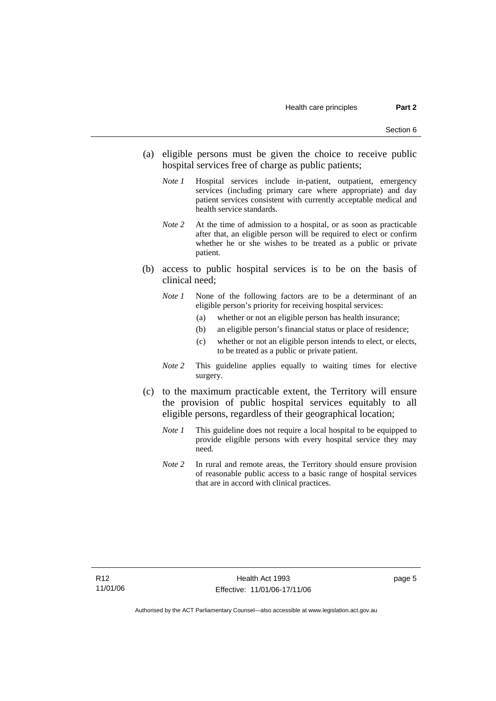- (a) eligible persons must be given the choice to receive public hospital services free of charge as public patients;
	- *Note 1* Hospital services include in-patient, outpatient, emergency services (including primary care where appropriate) and day patient services consistent with currently acceptable medical and health service standards.
	- *Note 2* At the time of admission to a hospital, or as soon as practicable after that, an eligible person will be required to elect or confirm whether he or she wishes to be treated as a public or private patient.
- (b) access to public hospital services is to be on the basis of clinical need;
	- *Note 1* None of the following factors are to be a determinant of an eligible person's priority for receiving hospital services:
		- (a) whether or not an eligible person has health insurance;
		- (b) an eligible person's financial status or place of residence;
		- (c) whether or not an eligible person intends to elect, or elects, to be treated as a public or private patient.
	- *Note 2* This guideline applies equally to waiting times for elective surgery.
- (c) to the maximum practicable extent, the Territory will ensure the provision of public hospital services equitably to all eligible persons, regardless of their geographical location;
	- *Note 1* This guideline does not require a local hospital to be equipped to provide eligible persons with every hospital service they may need.
	- *Note 2* In rural and remote areas, the Territory should ensure provision of reasonable public access to a basic range of hospital services that are in accord with clinical practices.

page 5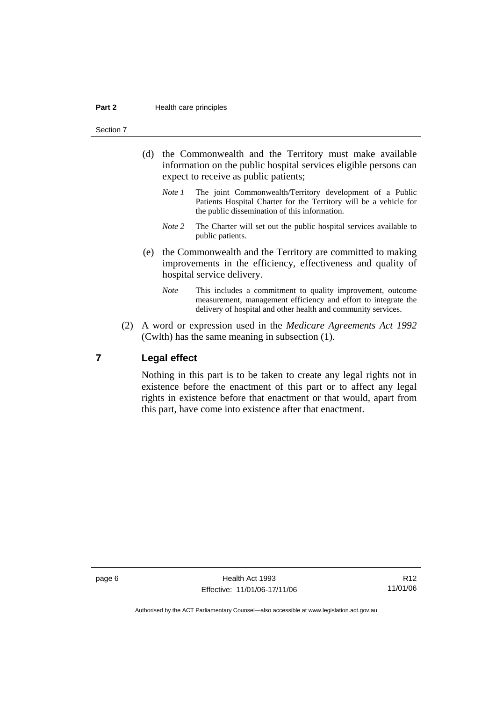#### Section 7

- (d) the Commonwealth and the Territory must make available information on the public hospital services eligible persons can expect to receive as public patients;
	- *Note 1* The joint Commonwealth/Territory development of a Public Patients Hospital Charter for the Territory will be a vehicle for the public dissemination of this information.
	- *Note* 2 The Charter will set out the public hospital services available to public patients.
- (e) the Commonwealth and the Territory are committed to making improvements in the efficiency, effectiveness and quality of hospital service delivery.
	- *Note* This includes a commitment to quality improvement, outcome measurement, management efficiency and effort to integrate the delivery of hospital and other health and community services.
- (2) A word or expression used in the *Medicare Agreements Act 1992* (Cwlth) has the same meaning in subsection (1).

#### **7 Legal effect**

Nothing in this part is to be taken to create any legal rights not in existence before the enactment of this part or to affect any legal rights in existence before that enactment or that would, apart from this part, have come into existence after that enactment.

page 6 **Health Act 1993** Effective: 11/01/06-17/11/06

R12 11/01/06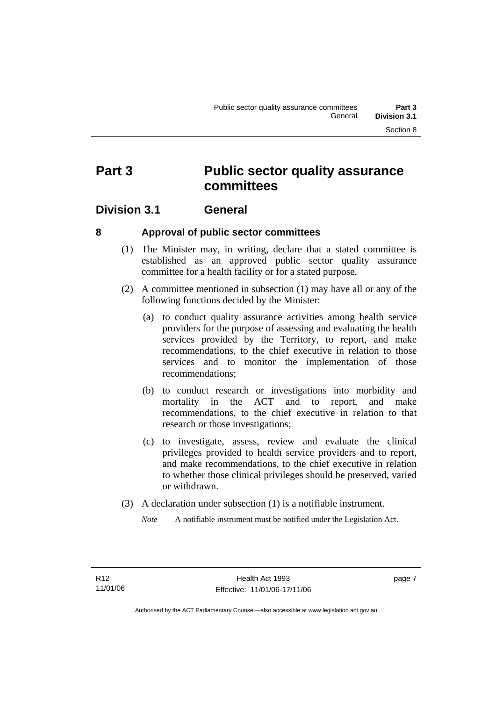# **Part 3 Public sector quality assurance committees**

## **Division 3.1 General**

## **8 Approval of public sector committees**

- (1) The Minister may, in writing, declare that a stated committee is established as an approved public sector quality assurance committee for a health facility or for a stated purpose.
- (2) A committee mentioned in subsection (1) may have all or any of the following functions decided by the Minister:
	- (a) to conduct quality assurance activities among health service providers for the purpose of assessing and evaluating the health services provided by the Territory, to report, and make recommendations, to the chief executive in relation to those services and to monitor the implementation of those recommendations;
	- (b) to conduct research or investigations into morbidity and mortality in the ACT and to report, and make recommendations, to the chief executive in relation to that research or those investigations;
	- (c) to investigate, assess, review and evaluate the clinical privileges provided to health service providers and to report, and make recommendations, to the chief executive in relation to whether those clinical privileges should be preserved, varied or withdrawn.
- (3) A declaration under subsection (1) is a notifiable instrument.
	- *Note* A notifiable instrument must be notified under the Legislation Act.

page 7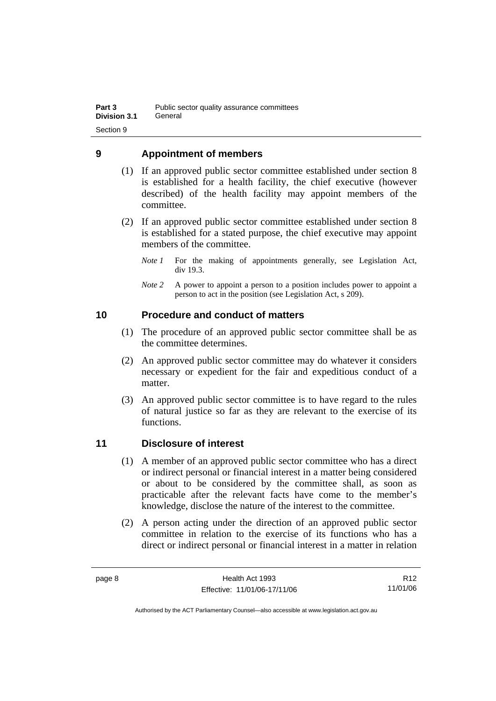## **9 Appointment of members**

- (1) If an approved public sector committee established under section 8 is established for a health facility, the chief executive (however described) of the health facility may appoint members of the committee.
- (2) If an approved public sector committee established under section 8 is established for a stated purpose, the chief executive may appoint members of the committee.
	- *Note 1* For the making of appointments generally, see Legislation Act, div 19.3.
	- *Note* 2 A power to appoint a person to a position includes power to appoint a person to act in the position (see Legislation Act, s 209).

## **10 Procedure and conduct of matters**

- (1) The procedure of an approved public sector committee shall be as the committee determines.
- (2) An approved public sector committee may do whatever it considers necessary or expedient for the fair and expeditious conduct of a matter.
- (3) An approved public sector committee is to have regard to the rules of natural justice so far as they are relevant to the exercise of its functions.

## **11 Disclosure of interest**

- (1) A member of an approved public sector committee who has a direct or indirect personal or financial interest in a matter being considered or about to be considered by the committee shall, as soon as practicable after the relevant facts have come to the member's knowledge, disclose the nature of the interest to the committee.
- (2) A person acting under the direction of an approved public sector committee in relation to the exercise of its functions who has a direct or indirect personal or financial interest in a matter in relation

R12 11/01/06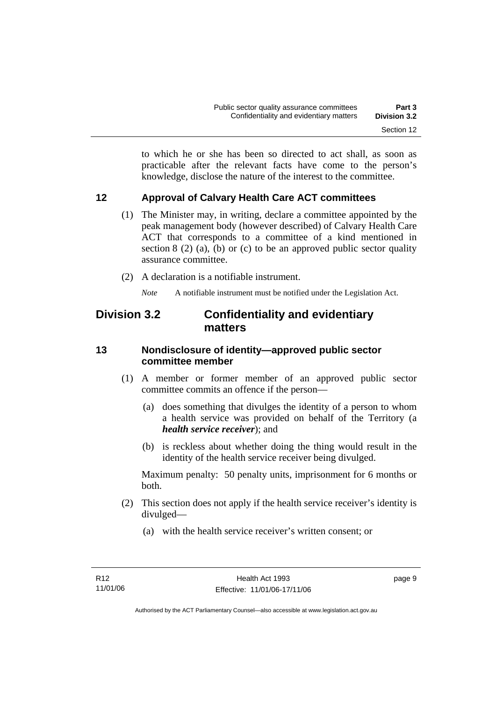to which he or she has been so directed to act shall, as soon as practicable after the relevant facts have come to the person's knowledge, disclose the nature of the interest to the committee.

## **12 Approval of Calvary Health Care ACT committees**

- (1) The Minister may, in writing, declare a committee appointed by the peak management body (however described) of Calvary Health Care ACT that corresponds to a committee of a kind mentioned in section  $8(2)$  (a), (b) or (c) to be an approved public sector quality assurance committee.
- (2) A declaration is a notifiable instrument.

*Note* A notifiable instrument must be notified under the Legislation Act.

## **Division 3.2 Confidentiality and evidentiary matters**

## **13 Nondisclosure of identity—approved public sector committee member**

- (1) A member or former member of an approved public sector committee commits an offence if the person—
	- (a) does something that divulges the identity of a person to whom a health service was provided on behalf of the Territory (a *health service receiver*); and
	- (b) is reckless about whether doing the thing would result in the identity of the health service receiver being divulged.

Maximum penalty: 50 penalty units, imprisonment for 6 months or both.

- (2) This section does not apply if the health service receiver's identity is divulged—
	- (a) with the health service receiver's written consent; or

page 9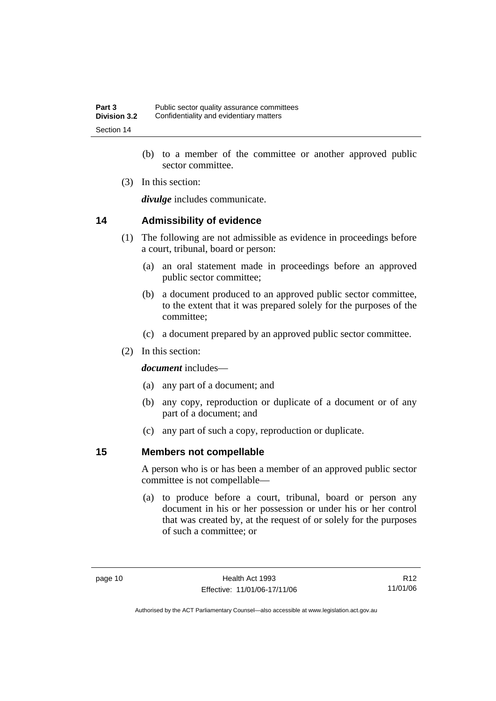- (b) to a member of the committee or another approved public sector committee.
- (3) In this section:

*divulge* includes communicate.

## **14 Admissibility of evidence**

- (1) The following are not admissible as evidence in proceedings before a court, tribunal, board or person:
	- (a) an oral statement made in proceedings before an approved public sector committee;
	- (b) a document produced to an approved public sector committee, to the extent that it was prepared solely for the purposes of the committee;
	- (c) a document prepared by an approved public sector committee.
- (2) In this section:

*document* includes—

- (a) any part of a document; and
- (b) any copy, reproduction or duplicate of a document or of any part of a document; and
- (c) any part of such a copy, reproduction or duplicate.

## **15 Members not compellable**

A person who is or has been a member of an approved public sector committee is not compellable—

 (a) to produce before a court, tribunal, board or person any document in his or her possession or under his or her control that was created by, at the request of or solely for the purposes of such a committee; or

R12 11/01/06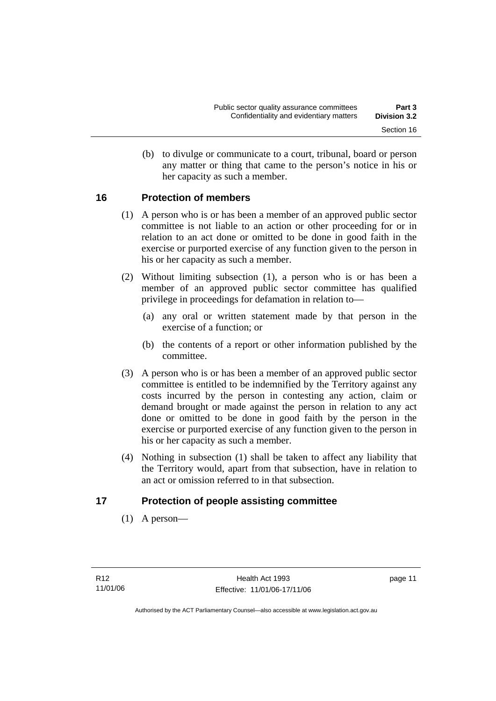(b) to divulge or communicate to a court, tribunal, board or person any matter or thing that came to the person's notice in his or her capacity as such a member.

## **16 Protection of members**

- (1) A person who is or has been a member of an approved public sector committee is not liable to an action or other proceeding for or in relation to an act done or omitted to be done in good faith in the exercise or purported exercise of any function given to the person in his or her capacity as such a member.
- (2) Without limiting subsection (1), a person who is or has been a member of an approved public sector committee has qualified privilege in proceedings for defamation in relation to—
	- (a) any oral or written statement made by that person in the exercise of a function; or
	- (b) the contents of a report or other information published by the committee.
- (3) A person who is or has been a member of an approved public sector committee is entitled to be indemnified by the Territory against any costs incurred by the person in contesting any action, claim or demand brought or made against the person in relation to any act done or omitted to be done in good faith by the person in the exercise or purported exercise of any function given to the person in his or her capacity as such a member.
- (4) Nothing in subsection (1) shall be taken to affect any liability that the Territory would, apart from that subsection, have in relation to an act or omission referred to in that subsection.

## **17 Protection of people assisting committee**

(1) A person—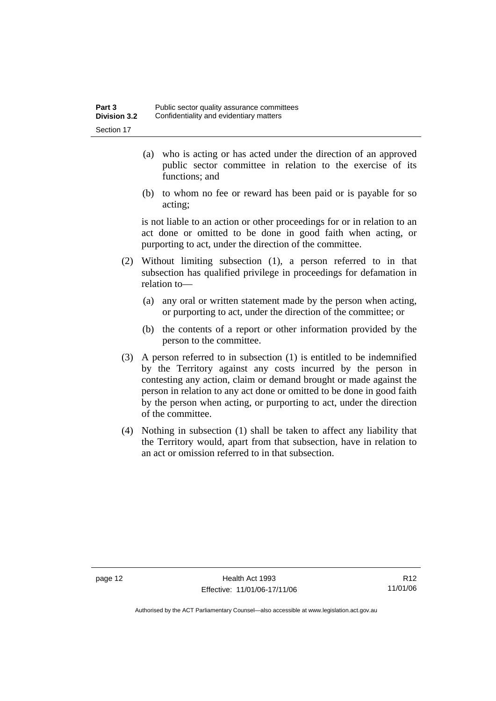- (a) who is acting or has acted under the direction of an approved public sector committee in relation to the exercise of its functions; and
- (b) to whom no fee or reward has been paid or is payable for so acting;

is not liable to an action or other proceedings for or in relation to an act done or omitted to be done in good faith when acting, or purporting to act, under the direction of the committee.

- (2) Without limiting subsection (1), a person referred to in that subsection has qualified privilege in proceedings for defamation in relation to—
	- (a) any oral or written statement made by the person when acting, or purporting to act, under the direction of the committee; or
	- (b) the contents of a report or other information provided by the person to the committee.
- (3) A person referred to in subsection (1) is entitled to be indemnified by the Territory against any costs incurred by the person in contesting any action, claim or demand brought or made against the person in relation to any act done or omitted to be done in good faith by the person when acting, or purporting to act, under the direction of the committee.
- (4) Nothing in subsection (1) shall be taken to affect any liability that the Territory would, apart from that subsection, have in relation to an act or omission referred to in that subsection.

page 12 Health Act 1993 Effective: 11/01/06-17/11/06

R12 11/01/06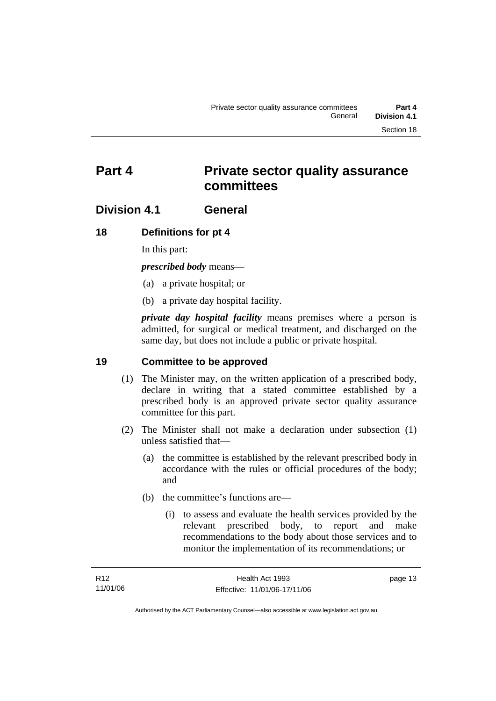# **Part 4 Private sector quality assurance committees**

## **Division 4.1 General**

## **18 Definitions for pt 4**

In this part:

*prescribed body* means—

- (a) a private hospital; or
- (b) a private day hospital facility.

*private day hospital facility* means premises where a person is admitted, for surgical or medical treatment, and discharged on the same day, but does not include a public or private hospital.

## **19 Committee to be approved**

- (1) The Minister may, on the written application of a prescribed body, declare in writing that a stated committee established by a prescribed body is an approved private sector quality assurance committee for this part.
- (2) The Minister shall not make a declaration under subsection (1) unless satisfied that—
	- (a) the committee is established by the relevant prescribed body in accordance with the rules or official procedures of the body; and
	- (b) the committee's functions are—
		- (i) to assess and evaluate the health services provided by the relevant prescribed body, to report and make recommendations to the body about those services and to monitor the implementation of its recommendations; or

page 13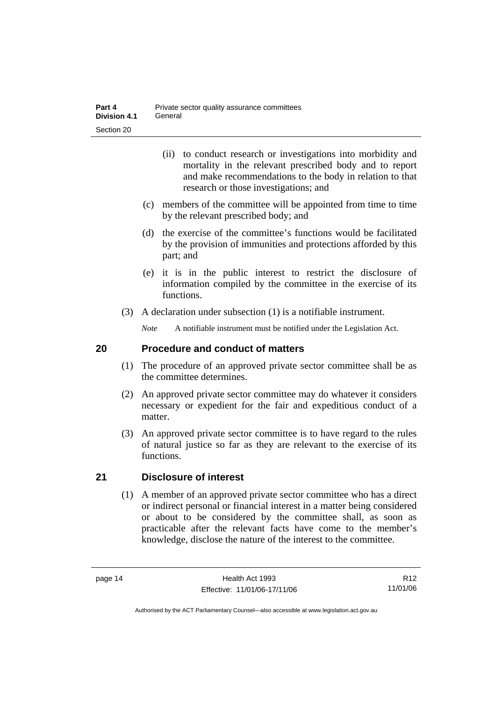- (ii) to conduct research or investigations into morbidity and mortality in the relevant prescribed body and to report and make recommendations to the body in relation to that research or those investigations; and
- (c) members of the committee will be appointed from time to time by the relevant prescribed body; and
- (d) the exercise of the committee's functions would be facilitated by the provision of immunities and protections afforded by this part; and
- (e) it is in the public interest to restrict the disclosure of information compiled by the committee in the exercise of its functions.
- (3) A declaration under subsection (1) is a notifiable instrument.

*Note* A notifiable instrument must be notified under the Legislation Act.

## **20 Procedure and conduct of matters**

- (1) The procedure of an approved private sector committee shall be as the committee determines.
- (2) An approved private sector committee may do whatever it considers necessary or expedient for the fair and expeditious conduct of a matter.
- (3) An approved private sector committee is to have regard to the rules of natural justice so far as they are relevant to the exercise of its functions.

## **21 Disclosure of interest**

 (1) A member of an approved private sector committee who has a direct or indirect personal or financial interest in a matter being considered or about to be considered by the committee shall, as soon as practicable after the relevant facts have come to the member's knowledge, disclose the nature of the interest to the committee.

R12 11/01/06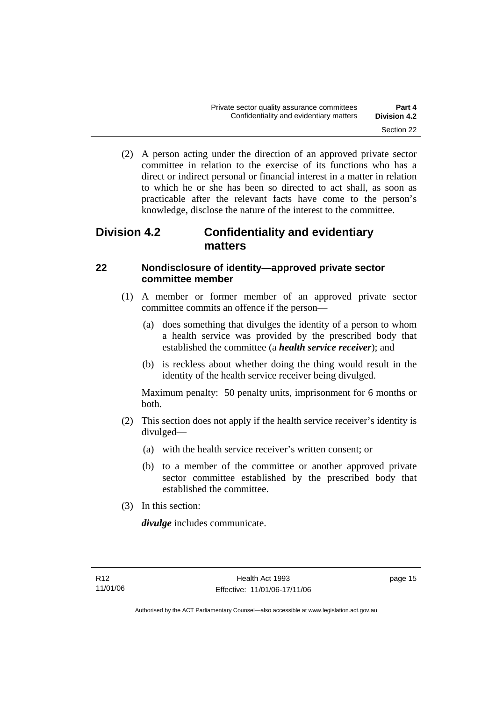(2) A person acting under the direction of an approved private sector committee in relation to the exercise of its functions who has a direct or indirect personal or financial interest in a matter in relation to which he or she has been so directed to act shall, as soon as practicable after the relevant facts have come to the person's knowledge, disclose the nature of the interest to the committee.

## **Division 4.2 Confidentiality and evidentiary matters**

## **22 Nondisclosure of identity—approved private sector committee member**

- (1) A member or former member of an approved private sector committee commits an offence if the person—
	- (a) does something that divulges the identity of a person to whom a health service was provided by the prescribed body that established the committee (a *health service receiver*); and
	- (b) is reckless about whether doing the thing would result in the identity of the health service receiver being divulged.

Maximum penalty: 50 penalty units, imprisonment for 6 months or both.

- (2) This section does not apply if the health service receiver's identity is divulged—
	- (a) with the health service receiver's written consent; or
	- (b) to a member of the committee or another approved private sector committee established by the prescribed body that established the committee.
- (3) In this section:

*divulge* includes communicate.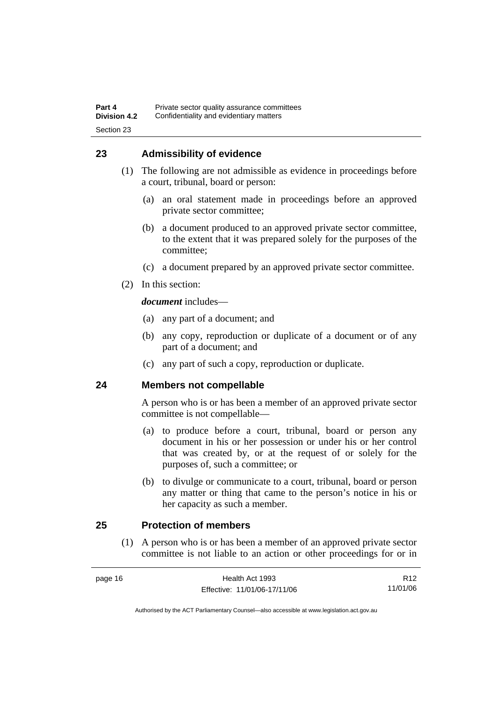## **23 Admissibility of evidence**

- (1) The following are not admissible as evidence in proceedings before a court, tribunal, board or person:
	- (a) an oral statement made in proceedings before an approved private sector committee;
	- (b) a document produced to an approved private sector committee, to the extent that it was prepared solely for the purposes of the committee;
	- (c) a document prepared by an approved private sector committee.
- (2) In this section:

*document* includes—

- (a) any part of a document; and
- (b) any copy, reproduction or duplicate of a document or of any part of a document; and
- (c) any part of such a copy, reproduction or duplicate.

## **24 Members not compellable**

A person who is or has been a member of an approved private sector committee is not compellable—

- (a) to produce before a court, tribunal, board or person any document in his or her possession or under his or her control that was created by, or at the request of or solely for the purposes of, such a committee; or
- (b) to divulge or communicate to a court, tribunal, board or person any matter or thing that came to the person's notice in his or her capacity as such a member.

## **25 Protection of members**

 (1) A person who is or has been a member of an approved private sector committee is not liable to an action or other proceedings for or in

| page 16 | Health Act 1993              | R <sub>12</sub> |
|---------|------------------------------|-----------------|
|         | Effective: 11/01/06-17/11/06 | 11/01/06        |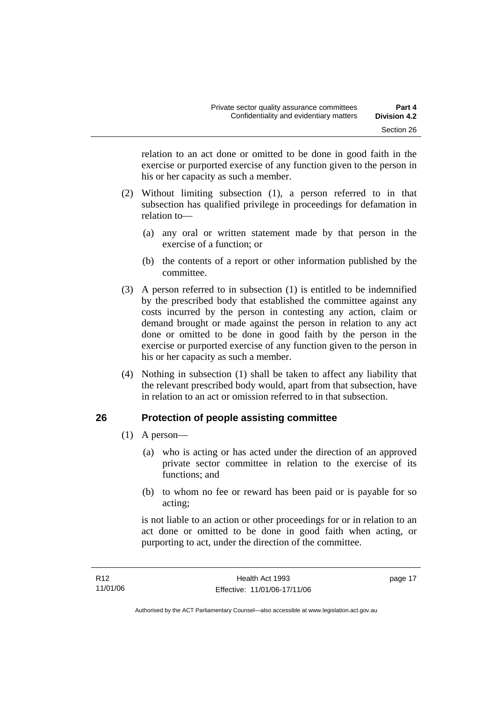relation to an act done or omitted to be done in good faith in the exercise or purported exercise of any function given to the person in his or her capacity as such a member.

- (2) Without limiting subsection (1), a person referred to in that subsection has qualified privilege in proceedings for defamation in relation to—
	- (a) any oral or written statement made by that person in the exercise of a function; or
	- (b) the contents of a report or other information published by the committee.
- (3) A person referred to in subsection (1) is entitled to be indemnified by the prescribed body that established the committee against any costs incurred by the person in contesting any action, claim or demand brought or made against the person in relation to any act done or omitted to be done in good faith by the person in the exercise or purported exercise of any function given to the person in his or her capacity as such a member.
- (4) Nothing in subsection (1) shall be taken to affect any liability that the relevant prescribed body would, apart from that subsection, have in relation to an act or omission referred to in that subsection.

## **26 Protection of people assisting committee**

- (1) A person—
	- (a) who is acting or has acted under the direction of an approved private sector committee in relation to the exercise of its functions; and
	- (b) to whom no fee or reward has been paid or is payable for so acting;

is not liable to an action or other proceedings for or in relation to an act done or omitted to be done in good faith when acting, or purporting to act, under the direction of the committee.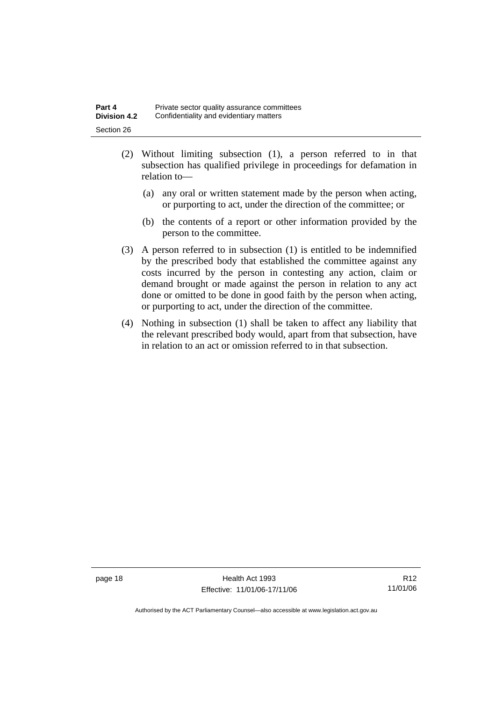| Part 4              | Private sector quality assurance committees |
|---------------------|---------------------------------------------|
| <b>Division 4.2</b> | Confidentiality and evidentiary matters     |
| Section 26          |                                             |

- (2) Without limiting subsection (1), a person referred to in that subsection has qualified privilege in proceedings for defamation in relation to—
	- (a) any oral or written statement made by the person when acting, or purporting to act, under the direction of the committee; or
	- (b) the contents of a report or other information provided by the person to the committee.
- (3) A person referred to in subsection (1) is entitled to be indemnified by the prescribed body that established the committee against any costs incurred by the person in contesting any action, claim or demand brought or made against the person in relation to any act done or omitted to be done in good faith by the person when acting, or purporting to act, under the direction of the committee.
- (4) Nothing in subsection (1) shall be taken to affect any liability that the relevant prescribed body would, apart from that subsection, have in relation to an act or omission referred to in that subsection.

page 18 Health Act 1993 Effective: 11/01/06-17/11/06

R12 11/01/06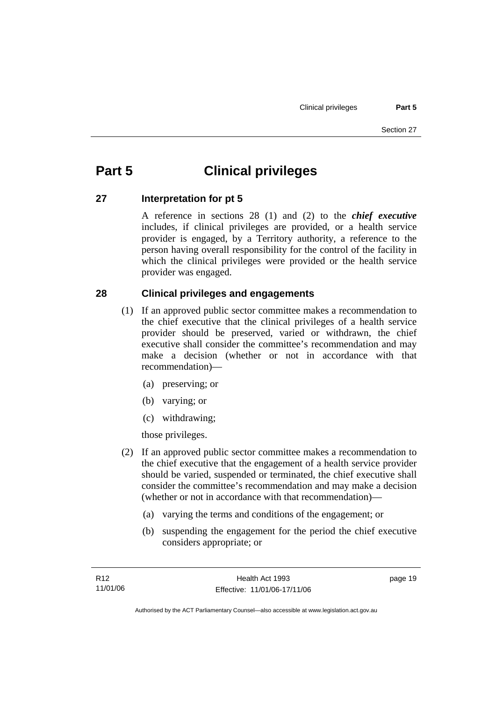# **Part 5 Clinical privileges**

## **27 Interpretation for pt 5**

A reference in sections 28 (1) and (2) to the *chief executive* includes, if clinical privileges are provided, or a health service provider is engaged, by a Territory authority, a reference to the person having overall responsibility for the control of the facility in which the clinical privileges were provided or the health service provider was engaged.

## **28 Clinical privileges and engagements**

- (1) If an approved public sector committee makes a recommendation to the chief executive that the clinical privileges of a health service provider should be preserved, varied or withdrawn, the chief executive shall consider the committee's recommendation and may make a decision (whether or not in accordance with that recommendation)—
	- (a) preserving; or
	- (b) varying; or
	- (c) withdrawing;

those privileges.

- (2) If an approved public sector committee makes a recommendation to the chief executive that the engagement of a health service provider should be varied, suspended or terminated, the chief executive shall consider the committee's recommendation and may make a decision (whether or not in accordance with that recommendation)—
	- (a) varying the terms and conditions of the engagement; or
	- (b) suspending the engagement for the period the chief executive considers appropriate; or

page 19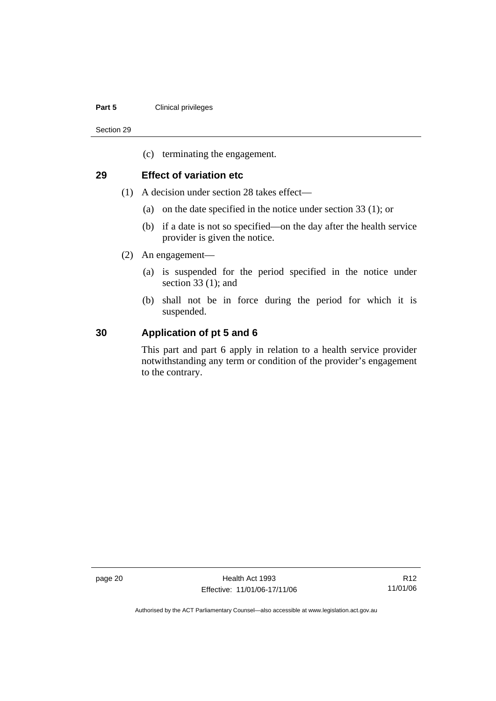#### **Part 5 Clinical privileges**

Section 29

(c) terminating the engagement.

#### **29 Effect of variation etc**

- (1) A decision under section 28 takes effect—
	- (a) on the date specified in the notice under section 33 (1); or
	- (b) if a date is not so specified—on the day after the health service provider is given the notice.
- (2) An engagement—
	- (a) is suspended for the period specified in the notice under section 33 (1); and
	- (b) shall not be in force during the period for which it is suspended.

#### **30 Application of pt 5 and 6**

This part and part 6 apply in relation to a health service provider notwithstanding any term or condition of the provider's engagement to the contrary.

page 20 **Health Act 1993** Effective: 11/01/06-17/11/06

R12 11/01/06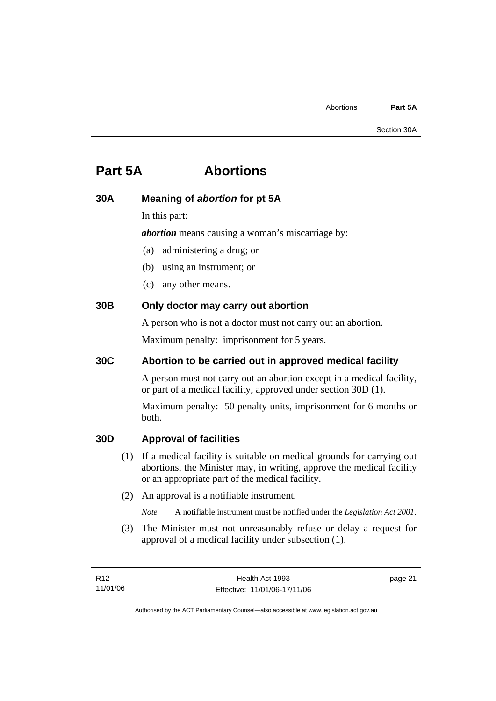# **Part 5A Abortions**

## **30A Meaning of** *abortion* **for pt 5A**

In this part:

*abortion* means causing a woman's miscarriage by:

- (a) administering a drug; or
- (b) using an instrument; or
- (c) any other means.

## **30B Only doctor may carry out abortion**

A person who is not a doctor must not carry out an abortion.

Maximum penalty: imprisonment for 5 years.

## **30C Abortion to be carried out in approved medical facility**

A person must not carry out an abortion except in a medical facility, or part of a medical facility, approved under section 30D (1).

Maximum penalty: 50 penalty units, imprisonment for 6 months or both.

## **30D Approval of facilities**

- (1) If a medical facility is suitable on medical grounds for carrying out abortions, the Minister may, in writing, approve the medical facility or an appropriate part of the medical facility.
- (2) An approval is a notifiable instrument.
	- *Note* A notifiable instrument must be notified under the *Legislation Act 2001*.
- (3) The Minister must not unreasonably refuse or delay a request for approval of a medical facility under subsection (1).

page 21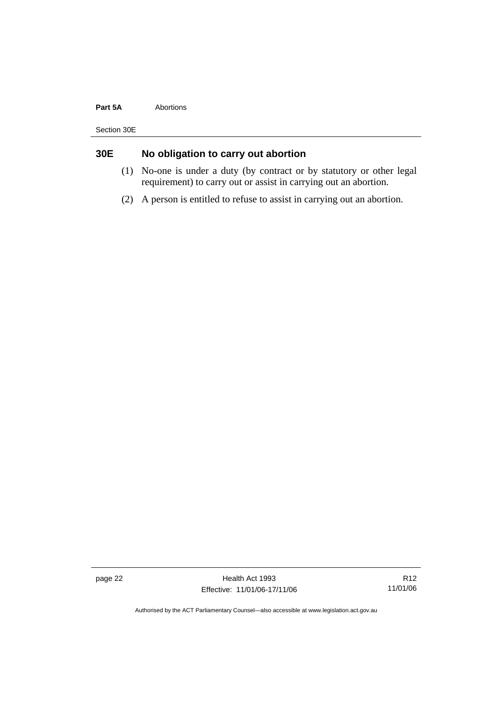#### **Part 5A Abortions**

Section 30E

## **30E No obligation to carry out abortion**

- (1) No-one is under a duty (by contract or by statutory or other legal requirement) to carry out or assist in carrying out an abortion.
- (2) A person is entitled to refuse to assist in carrying out an abortion.

page 22 Health Act 1993 Effective: 11/01/06-17/11/06

R12 11/01/06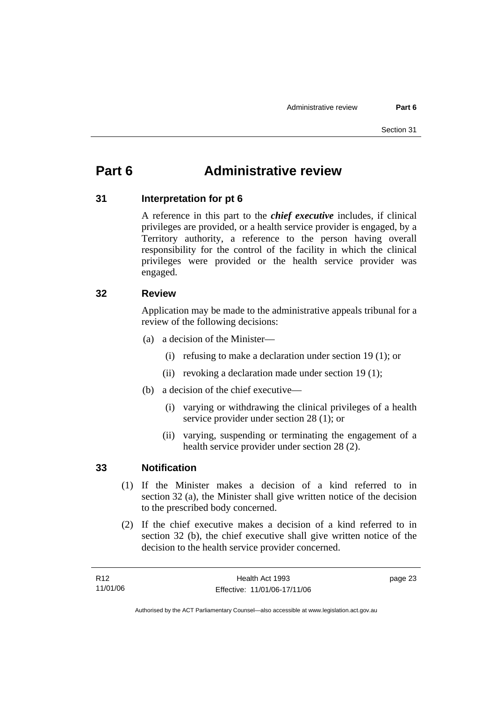# **Part 6 Administrative review**

## **31 Interpretation for pt 6**

A reference in this part to the *chief executive* includes, if clinical privileges are provided, or a health service provider is engaged, by a Territory authority, a reference to the person having overall responsibility for the control of the facility in which the clinical privileges were provided or the health service provider was engaged.

#### **32 Review**

Application may be made to the administrative appeals tribunal for a review of the following decisions:

- (a) a decision of the Minister—
	- (i) refusing to make a declaration under section 19 (1); or
	- (ii) revoking a declaration made under section 19 (1);
- (b) a decision of the chief executive—
	- (i) varying or withdrawing the clinical privileges of a health service provider under section 28 (1); or
	- (ii) varying, suspending or terminating the engagement of a health service provider under section 28 (2).

#### **33 Notification**

- (1) If the Minister makes a decision of a kind referred to in section 32 (a), the Minister shall give written notice of the decision to the prescribed body concerned.
- (2) If the chief executive makes a decision of a kind referred to in section 32 (b), the chief executive shall give written notice of the decision to the health service provider concerned.

| R12      | Health Act 1993              | page 23 |
|----------|------------------------------|---------|
| 11/01/06 | Effective: 11/01/06-17/11/06 |         |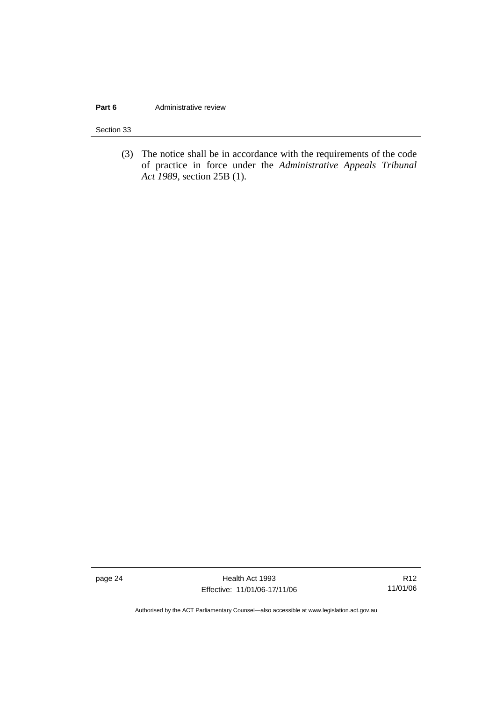#### **Part 6 Administrative review**

Section 33

 (3) The notice shall be in accordance with the requirements of the code of practice in force under the *Administrative Appeals Tribunal Act 1989*, section 25B (1).

page 24 Health Act 1993 Effective: 11/01/06-17/11/06

R12 11/01/06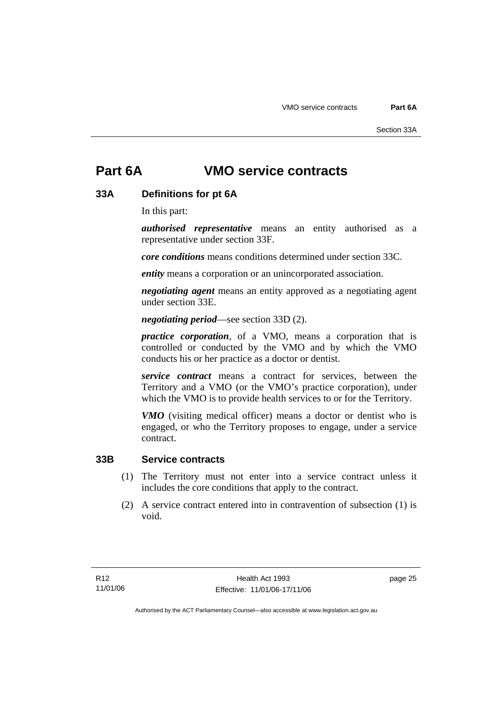## **Part 6A VMO service contracts**

## **33A Definitions for pt 6A**

In this part:

*authorised representative* means an entity authorised as a representative under section 33F.

*core conditions* means conditions determined under section 33C.

*entity* means a corporation or an unincorporated association.

*negotiating agent* means an entity approved as a negotiating agent under section 33E.

*negotiating period*—see section 33D (2).

*practice corporation*, of a VMO, means a corporation that is controlled or conducted by the VMO and by which the VMO conducts his or her practice as a doctor or dentist.

*service contract* means a contract for services, between the Territory and a VMO (or the VMO's practice corporation), under which the VMO is to provide health services to or for the Territory.

*VMO* (visiting medical officer) means a doctor or dentist who is engaged, or who the Territory proposes to engage, under a service contract.

#### **33B Service contracts**

- (1) The Territory must not enter into a service contract unless it includes the core conditions that apply to the contract.
- (2) A service contract entered into in contravention of subsection (1) is void.

page 25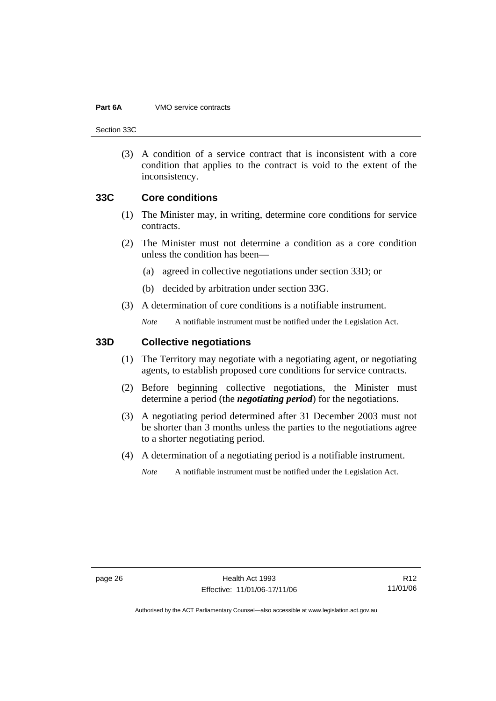#### **Part 6A** VMO service contracts

Section 33C

 (3) A condition of a service contract that is inconsistent with a core condition that applies to the contract is void to the extent of the inconsistency.

#### **33C Core conditions**

- (1) The Minister may, in writing, determine core conditions for service contracts.
- (2) The Minister must not determine a condition as a core condition unless the condition has been—
	- (a) agreed in collective negotiations under section 33D; or
	- (b) decided by arbitration under section 33G.
- (3) A determination of core conditions is a notifiable instrument.

*Note* A notifiable instrument must be notified under the Legislation Act.

## **33D Collective negotiations**

- (1) The Territory may negotiate with a negotiating agent, or negotiating agents, to establish proposed core conditions for service contracts.
- (2) Before beginning collective negotiations, the Minister must determine a period (the *negotiating period*) for the negotiations.
- (3) A negotiating period determined after 31 December 2003 must not be shorter than 3 months unless the parties to the negotiations agree to a shorter negotiating period.
- (4) A determination of a negotiating period is a notifiable instrument.

*Note* A notifiable instrument must be notified under the Legislation Act.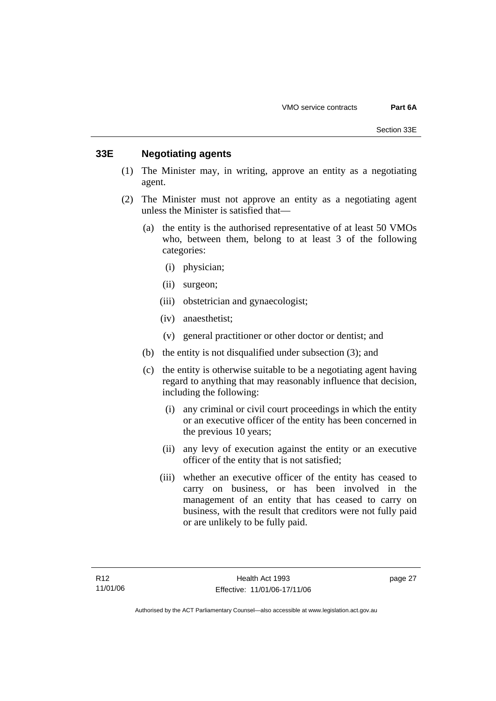### **33E Negotiating agents**

- (1) The Minister may, in writing, approve an entity as a negotiating agent.
- (2) The Minister must not approve an entity as a negotiating agent unless the Minister is satisfied that—
	- (a) the entity is the authorised representative of at least 50 VMOs who, between them, belong to at least 3 of the following categories:
		- (i) physician;
		- (ii) surgeon;
		- (iii) obstetrician and gynaecologist;
		- (iv) anaesthetist;
		- (v) general practitioner or other doctor or dentist; and
	- (b) the entity is not disqualified under subsection (3); and
	- (c) the entity is otherwise suitable to be a negotiating agent having regard to anything that may reasonably influence that decision, including the following:
		- (i) any criminal or civil court proceedings in which the entity or an executive officer of the entity has been concerned in the previous 10 years;
		- (ii) any levy of execution against the entity or an executive officer of the entity that is not satisfied;
		- (iii) whether an executive officer of the entity has ceased to carry on business, or has been involved in the management of an entity that has ceased to carry on business, with the result that creditors were not fully paid or are unlikely to be fully paid.

page 27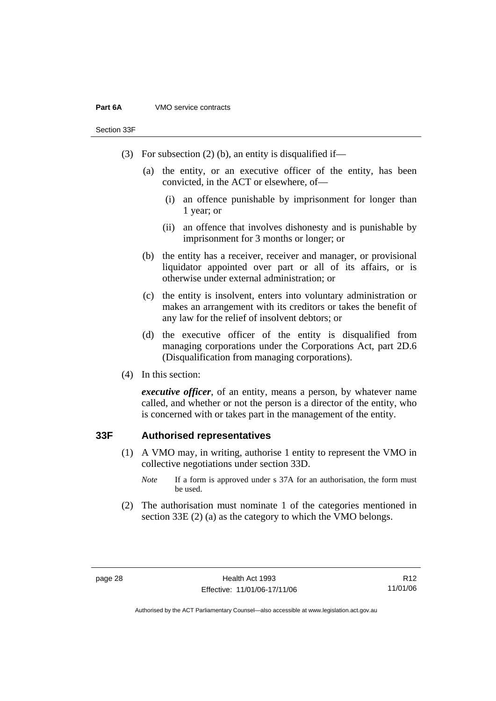#### **Part 6A** VMO service contracts

Section 33F

- (3) For subsection (2) (b), an entity is disqualified if—
	- (a) the entity, or an executive officer of the entity, has been convicted, in the ACT or elsewhere, of—
		- (i) an offence punishable by imprisonment for longer than 1 year; or
		- (ii) an offence that involves dishonesty and is punishable by imprisonment for 3 months or longer; or
	- (b) the entity has a receiver, receiver and manager, or provisional liquidator appointed over part or all of its affairs, or is otherwise under external administration; or
	- (c) the entity is insolvent, enters into voluntary administration or makes an arrangement with its creditors or takes the benefit of any law for the relief of insolvent debtors; or
	- (d) the executive officer of the entity is disqualified from managing corporations under the Corporations Act, part 2D.6 (Disqualification from managing corporations).
- (4) In this section:

*executive officer*, of an entity, means a person, by whatever name called, and whether or not the person is a director of the entity, who is concerned with or takes part in the management of the entity.

#### **33F Authorised representatives**

- (1) A VMO may, in writing, authorise 1 entity to represent the VMO in collective negotiations under section 33D.
	- *Note* If a form is approved under s 37A for an authorisation, the form must be used.
- (2) The authorisation must nominate 1 of the categories mentioned in section 33E (2) (a) as the category to which the VMO belongs.

R12 11/01/06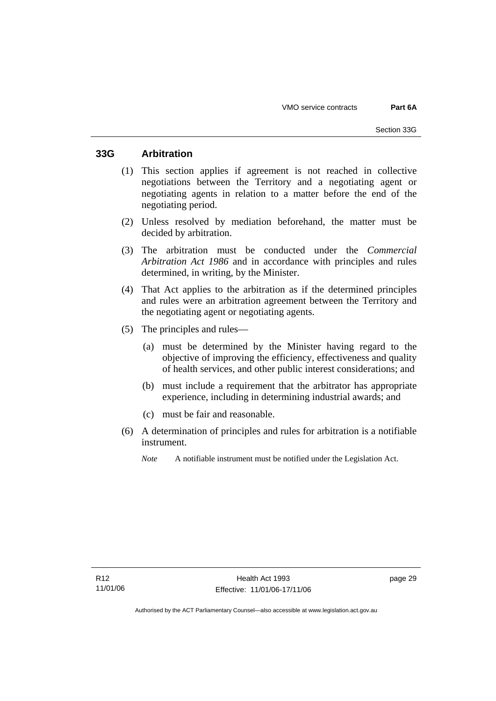## **33G Arbitration**

- (1) This section applies if agreement is not reached in collective negotiations between the Territory and a negotiating agent or negotiating agents in relation to a matter before the end of the negotiating period.
- (2) Unless resolved by mediation beforehand, the matter must be decided by arbitration.
- (3) The arbitration must be conducted under the *Commercial Arbitration Act 1986* and in accordance with principles and rules determined, in writing, by the Minister.
- (4) That Act applies to the arbitration as if the determined principles and rules were an arbitration agreement between the Territory and the negotiating agent or negotiating agents.
- (5) The principles and rules—
	- (a) must be determined by the Minister having regard to the objective of improving the efficiency, effectiveness and quality of health services, and other public interest considerations; and
	- (b) must include a requirement that the arbitrator has appropriate experience, including in determining industrial awards; and
	- (c) must be fair and reasonable.
- (6) A determination of principles and rules for arbitration is a notifiable instrument.
	- *Note* A notifiable instrument must be notified under the Legislation Act.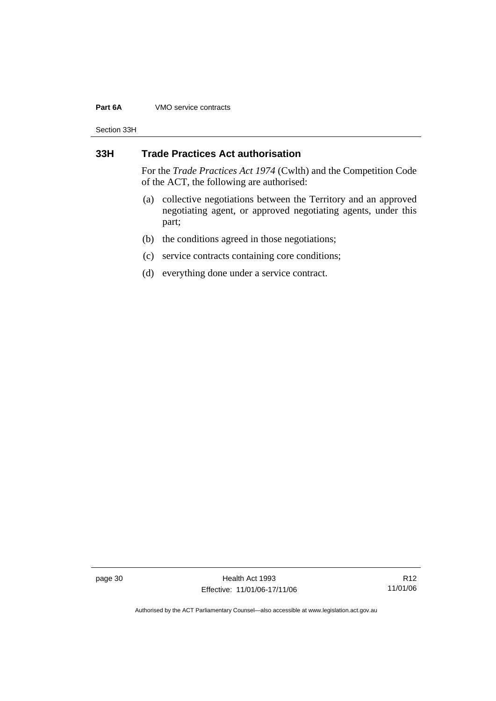#### **Part 6A** VMO service contracts

Section 33H

## **33H Trade Practices Act authorisation**

For the *Trade Practices Act 1974* (Cwlth) and the Competition Code of the ACT, the following are authorised:

- (a) collective negotiations between the Territory and an approved negotiating agent, or approved negotiating agents, under this part;
- (b) the conditions agreed in those negotiations;
- (c) service contracts containing core conditions;
- (d) everything done under a service contract.

page 30 Health Act 1993 Effective: 11/01/06-17/11/06

R12 11/01/06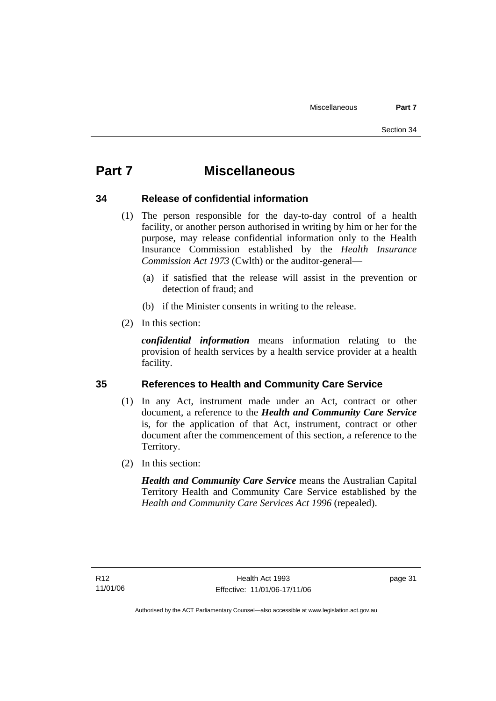# **Part 7 Miscellaneous**

## **34 Release of confidential information**

- (1) The person responsible for the day-to-day control of a health facility, or another person authorised in writing by him or her for the purpose, may release confidential information only to the Health Insurance Commission established by the *Health Insurance Commission Act 1973* (Cwlth) or the auditor-general—
	- (a) if satisfied that the release will assist in the prevention or detection of fraud; and
	- (b) if the Minister consents in writing to the release.
- (2) In this section:

*confidential information* means information relating to the provision of health services by a health service provider at a health facility.

## **35 References to Health and Community Care Service**

- (1) In any Act, instrument made under an Act, contract or other document, a reference to the *Health and Community Care Service* is, for the application of that Act, instrument, contract or other document after the commencement of this section, a reference to the Territory.
- (2) In this section:

*Health and Community Care Service* means the Australian Capital Territory Health and Community Care Service established by the *Health and Community Care Services Act 1996* (repealed).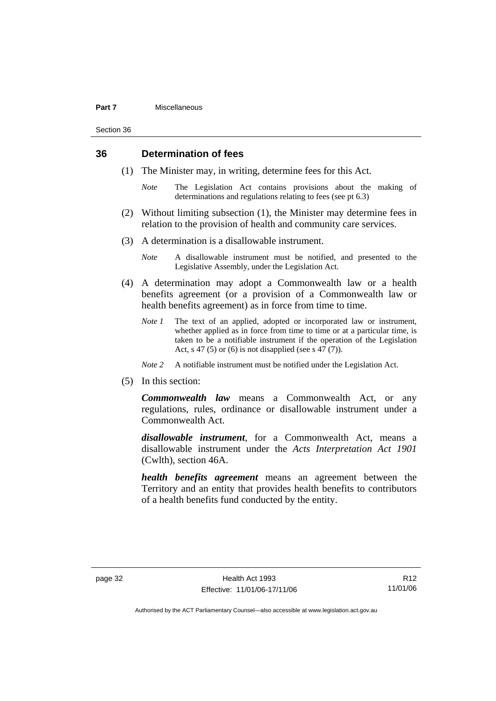#### **Part 7** Miscellaneous

Section 36

#### **36 Determination of fees**

- (1) The Minister may, in writing, determine fees for this Act.
	- *Note* The Legislation Act contains provisions about the making of determinations and regulations relating to fees (see pt 6.3)
- (2) Without limiting subsection (1), the Minister may determine fees in relation to the provision of health and community care services.
- (3) A determination is a disallowable instrument.
	- *Note* A disallowable instrument must be notified, and presented to the Legislative Assembly, under the Legislation Act.
- (4) A determination may adopt a Commonwealth law or a health benefits agreement (or a provision of a Commonwealth law or health benefits agreement) as in force from time to time.
	- *Note 1* The text of an applied, adopted or incorporated law or instrument, whether applied as in force from time to time or at a particular time, is taken to be a notifiable instrument if the operation of the Legislation Act, s 47 (5) or (6) is not disapplied (see s 47 (7)).
	- *Note 2* A notifiable instrument must be notified under the Legislation Act.
- (5) In this section:

*Commonwealth law* means a Commonwealth Act, or any regulations, rules, ordinance or disallowable instrument under a Commonwealth Act.

*disallowable instrument*, for a Commonwealth Act, means a disallowable instrument under the *Acts Interpretation Act 1901* (Cwlth), section 46A.

*health benefits agreement* means an agreement between the Territory and an entity that provides health benefits to contributors of a health benefits fund conducted by the entity.

R12 11/01/06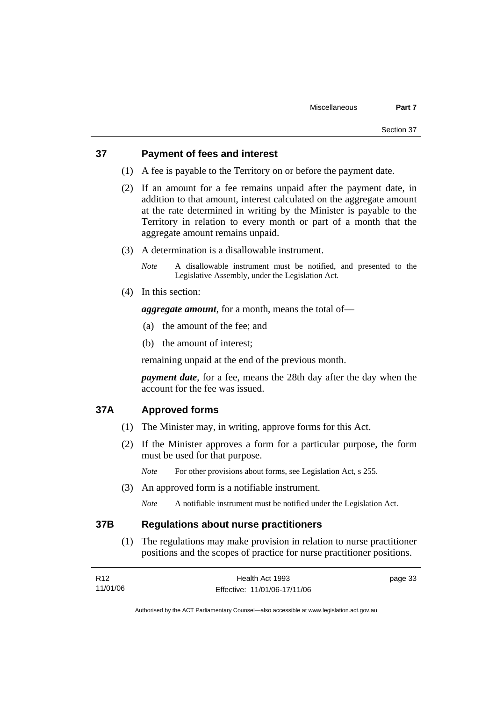#### **37 Payment of fees and interest**

- (1) A fee is payable to the Territory on or before the payment date.
- (2) If an amount for a fee remains unpaid after the payment date, in addition to that amount, interest calculated on the aggregate amount at the rate determined in writing by the Minister is payable to the Territory in relation to every month or part of a month that the aggregate amount remains unpaid.
- (3) A determination is a disallowable instrument.

*Note* A disallowable instrument must be notified, and presented to the Legislative Assembly, under the Legislation Act.

(4) In this section:

*aggregate amount*, for a month, means the total of—

- (a) the amount of the fee; and
- (b) the amount of interest;

remaining unpaid at the end of the previous month.

*payment date*, for a fee, means the 28th day after the day when the account for the fee was issued.

#### **37A Approved forms**

- (1) The Minister may, in writing, approve forms for this Act.
- (2) If the Minister approves a form for a particular purpose, the form must be used for that purpose.

*Note* For other provisions about forms, see Legislation Act, s 255.

(3) An approved form is a notifiable instrument.

*Note* A notifiable instrument must be notified under the Legislation Act.

#### **37B Regulations about nurse practitioners**

 (1) The regulations may make provision in relation to nurse practitioner positions and the scopes of practice for nurse practitioner positions.

| R <sub>12</sub> | Health Act 1993              | page 33 |
|-----------------|------------------------------|---------|
| 11/01/06        | Effective: 11/01/06-17/11/06 |         |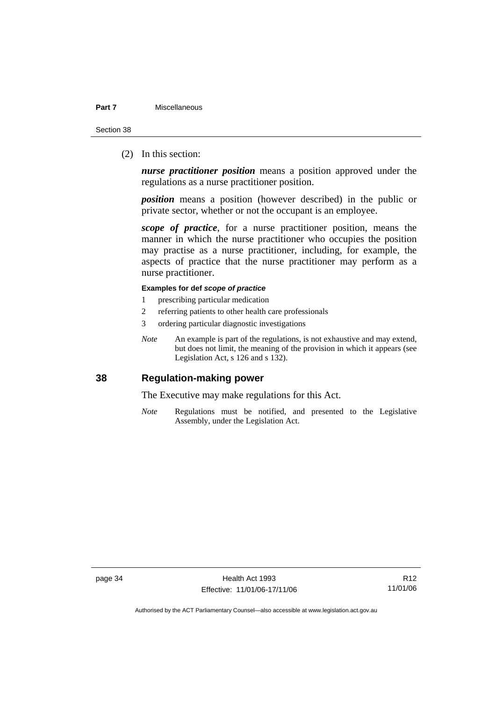#### **Part 7** Miscellaneous

Section 38

(2) In this section:

*nurse practitioner position* means a position approved under the regulations as a nurse practitioner position.

*position* means a position (however described) in the public or private sector, whether or not the occupant is an employee.

*scope of practice*, for a nurse practitioner position, means the manner in which the nurse practitioner who occupies the position may practise as a nurse practitioner, including, for example, the aspects of practice that the nurse practitioner may perform as a nurse practitioner.

#### **Examples for def** *scope of practice*

- 1 prescribing particular medication
- 2 referring patients to other health care professionals
- 3 ordering particular diagnostic investigations
- *Note* An example is part of the regulations, is not exhaustive and may extend, but does not limit, the meaning of the provision in which it appears (see Legislation Act, s 126 and s 132).

## **38 Regulation-making power**

The Executive may make regulations for this Act.

*Note* Regulations must be notified, and presented to the Legislative Assembly, under the Legislation Act.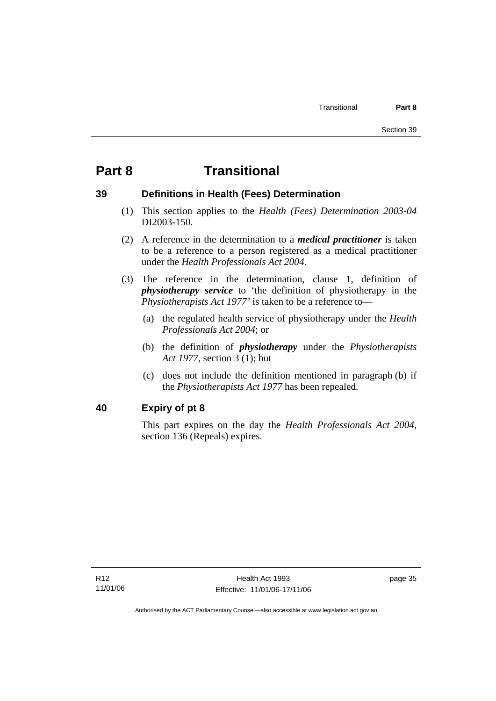# **Part 8 Transitional**

## **39 Definitions in Health (Fees) Determination**

- (1) This section applies to the *Health (Fees) Determination 2003-04*  DI2003-150.
- (2) A reference in the determination to a *medical practitioner* is taken to be a reference to a person registered as a medical practitioner under the *Health Professionals Act 2004*.
- (3) The reference in the determination, clause 1, definition of *physiotherapy service* to 'the definition of physiotherapy in the *Physiotherapists Act 1977'* is taken to be a reference to—
	- (a) the regulated health service of physiotherapy under the *Health Professionals Act 2004*; or
	- (b) the definition of *physiotherapy* under the *Physiotherapists Act 1977*, section 3 (1); but
	- (c) does not include the definition mentioned in paragraph (b) if the *Physiotherapists Act 1977* has been repealed.

## **40 Expiry of pt 8**

This part expires on the day the *Health Professionals Act 2004*, section 136 (Repeals) expires.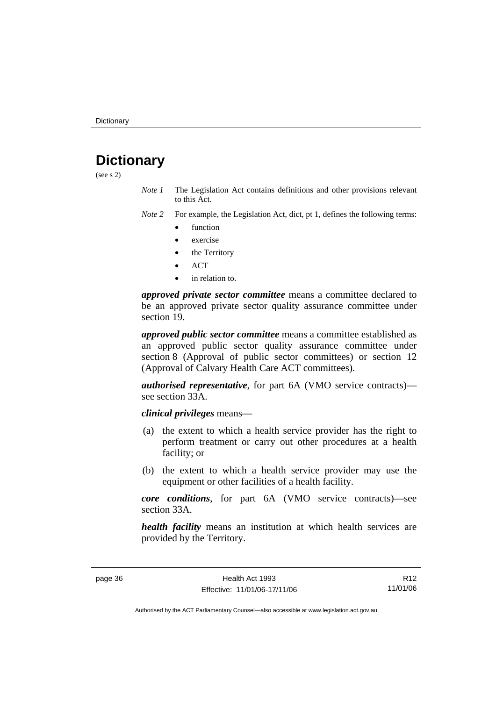# **Dictionary**

(see s 2)

- *Note 1* The Legislation Act contains definitions and other provisions relevant to this Act.
- *Note 2* For example, the Legislation Act, dict, pt 1, defines the following terms:
	- function
	- exercise
	- the Territory
	- ACT
	- in relation to.

*approved private sector committee* means a committee declared to be an approved private sector quality assurance committee under section 19.

*approved public sector committee* means a committee established as an approved public sector quality assurance committee under section 8 (Approval of public sector committees) or section 12 (Approval of Calvary Health Care ACT committees).

*authorised representative*, for part 6A (VMO service contracts) see section 33A.

*clinical privileges* means—

- (a) the extent to which a health service provider has the right to perform treatment or carry out other procedures at a health facility; or
- (b) the extent to which a health service provider may use the equipment or other facilities of a health facility.

*core conditions*, for part 6A (VMO service contracts)—see section 33A.

*health facility* means an institution at which health services are provided by the Territory.

R12 11/01/06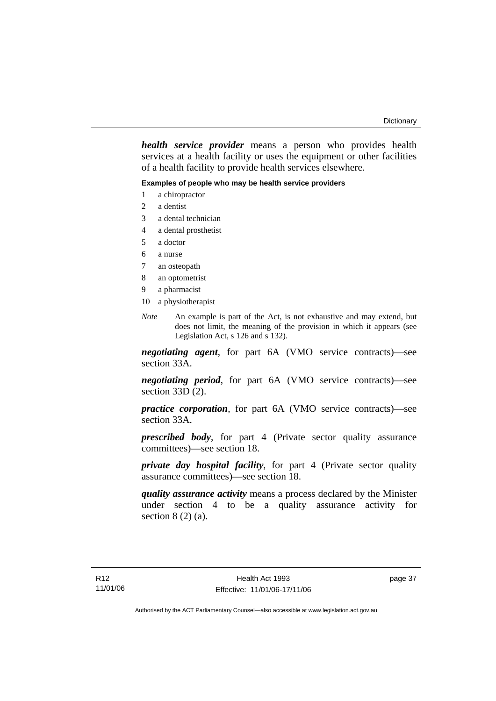*health service provider* means a person who provides health services at a health facility or uses the equipment or other facilities of a health facility to provide health services elsewhere.

#### **Examples of people who may be health service providers**

- 1 a chiropractor
- 2 a dentist
- 3 a dental technician
- 4 a dental prosthetist
- 5 a doctor
- 6 a nurse
- 7 an osteopath
- 8 an optometrist
- 9 a pharmacist
- 10 a physiotherapist
- *Note* An example is part of the Act, is not exhaustive and may extend, but does not limit, the meaning of the provision in which it appears (see Legislation Act, s 126 and s 132).

*negotiating agent*, for part 6A (VMO service contracts)—see section 33A.

*negotiating period*, for part 6A (VMO service contracts)—see section 33D (2).

*practice corporation*, for part 6A (VMO service contracts)—see section 33A.

*prescribed body*, for part 4 (Private sector quality assurance committees)—see section 18.

*private day hospital facility*, for part 4 (Private sector quality assurance committees)—see section 18.

*quality assurance activity* means a process declared by the Minister under section 4 to be a quality assurance activity for section  $8(2)(a)$ .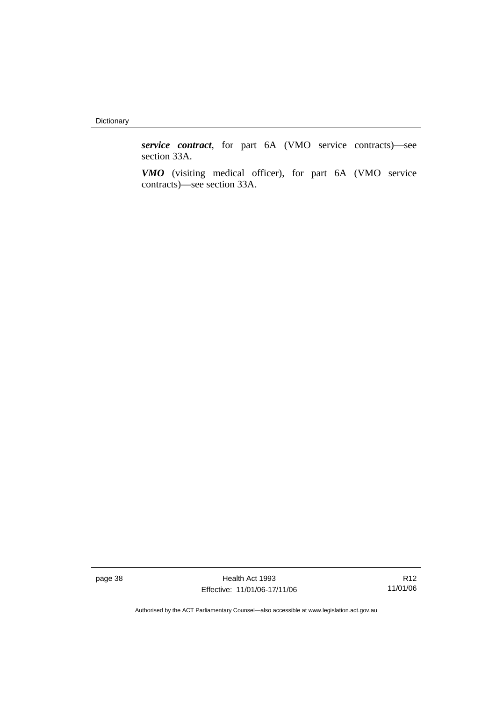Dictionary

*service contract*, for part 6A (VMO service contracts)—see section 33A.

*VMO* (visiting medical officer), for part 6A (VMO service contracts)—see section 33A.

page 38 **Health Act 1993** Effective: 11/01/06-17/11/06

R12 11/01/06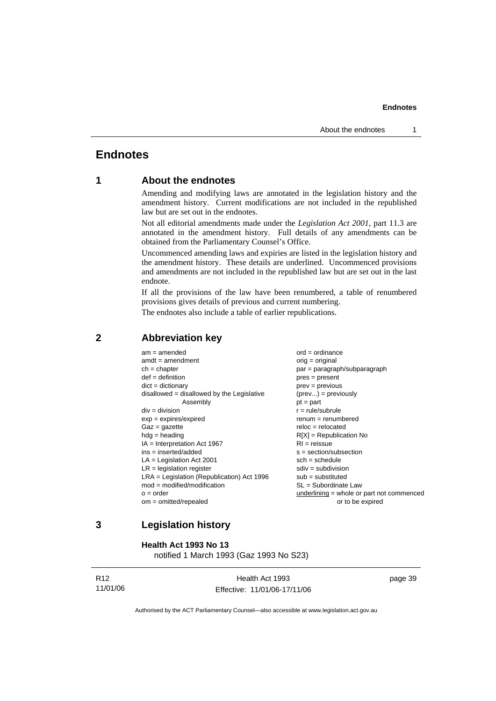## **Endnotes**

## **1 About the endnotes**

Amending and modifying laws are annotated in the legislation history and the amendment history. Current modifications are not included in the republished law but are set out in the endnotes.

Not all editorial amendments made under the *Legislation Act 2001*, part 11.3 are annotated in the amendment history. Full details of any amendments can be obtained from the Parliamentary Counsel's Office.

Uncommenced amending laws and expiries are listed in the legislation history and the amendment history. These details are underlined. Uncommenced provisions and amendments are not included in the republished law but are set out in the last endnote.

If all the provisions of the law have been renumbered, a table of renumbered provisions gives details of previous and current numbering.

The endnotes also include a table of earlier republications.

| $am = amended$<br>$amdt = amendment$<br>$ch = chapter$<br>$def = definition$<br>$dict = dictionary$<br>$disallowed = disallowed by the Legislative$<br>Assembly<br>$div = division$<br>$exp = expires/expired$<br>$Gaz = gazette$<br>$hdg =$ heading<br>$IA = Interpretation Act 1967$<br>$ins = inserted/added$<br>$LA =$ Legislation Act 2001<br>$LR =$ legislation register<br>$LRA =$ Legislation (Republication) Act 1996<br>$mod = modified/modification$<br>$o = order$<br>$om = omitted/repealed$ | $ord = ordinance$<br>$orig = original$<br>par = paragraph/subparagraph<br>$pres = present$<br>$prev = previous$<br>$(\text{prev}) = \text{previously}$<br>$pt = part$<br>$r = rule/subrule$<br>$renum = renumbered$<br>$reloc = relocated$<br>$R[X]$ = Republication No<br>$RI = reissue$<br>$s = section/subsection$<br>$sch = schedule$<br>$sdiv = subdivision$<br>$sub = substituted$<br>SL = Subordinate Law<br>$underlining = whole or part not commenced$ |
|-----------------------------------------------------------------------------------------------------------------------------------------------------------------------------------------------------------------------------------------------------------------------------------------------------------------------------------------------------------------------------------------------------------------------------------------------------------------------------------------------------------|-----------------------------------------------------------------------------------------------------------------------------------------------------------------------------------------------------------------------------------------------------------------------------------------------------------------------------------------------------------------------------------------------------------------------------------------------------------------|
|                                                                                                                                                                                                                                                                                                                                                                                                                                                                                                           | or to be expired                                                                                                                                                                                                                                                                                                                                                                                                                                                |
|                                                                                                                                                                                                                                                                                                                                                                                                                                                                                                           |                                                                                                                                                                                                                                                                                                                                                                                                                                                                 |

#### **2 Abbreviation key**

## **3 Legislation history**

**Health Act 1993 No 13** 

notified 1 March 1993 (Gaz 1993 No S23)

| R <sub>12</sub> | Health Act 1993              | page 39 |
|-----------------|------------------------------|---------|
| 11/01/06        | Effective: 11/01/06-17/11/06 |         |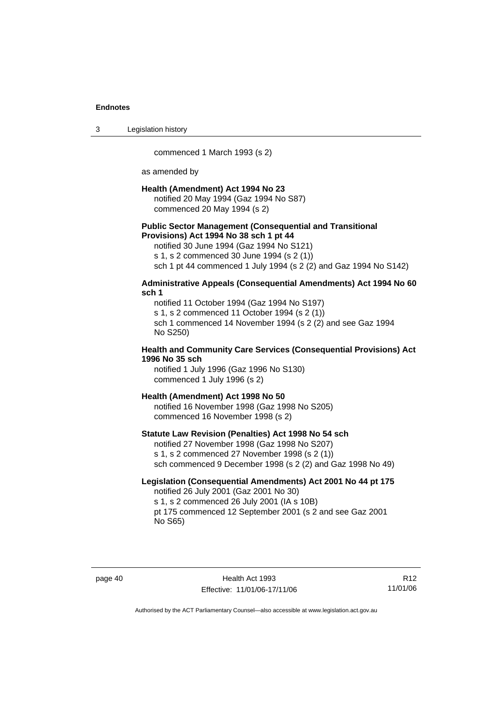3 Legislation history

commenced 1 March 1993 (s 2)

as amended by

#### **Health (Amendment) Act 1994 No 23**

notified 20 May 1994 (Gaz 1994 No S87) commenced 20 May 1994 (s 2)

#### **Public Sector Management (Consequential and Transitional Provisions) Act 1994 No 38 sch 1 pt 44**

notified 30 June 1994 (Gaz 1994 No S121)

s 1, s 2 commenced 30 June 1994 (s 2 (1))

sch 1 pt 44 commenced 1 July 1994 (s 2 (2) and Gaz 1994 No S142)

#### **Administrative Appeals (Consequential Amendments) Act 1994 No 60 sch 1**

notified 11 October 1994 (Gaz 1994 No S197) s 1, s 2 commenced 11 October 1994 (s 2 (1)) sch 1 commenced 14 November 1994 (s 2 (2) and see Gaz 1994 No S250)

#### **Health and Community Care Services (Consequential Provisions) Act 1996 No 35 sch**

notified 1 July 1996 (Gaz 1996 No S130) commenced 1 July 1996 (s 2)

#### **Health (Amendment) Act 1998 No 50**

notified 16 November 1998 (Gaz 1998 No S205) commenced 16 November 1998 (s 2)

#### **Statute Law Revision (Penalties) Act 1998 No 54 sch**

notified 27 November 1998 (Gaz 1998 No S207) s 1, s 2 commenced 27 November 1998 (s 2 (1)) sch commenced 9 December 1998 (s 2 (2) and Gaz 1998 No 49)

## **Legislation (Consequential Amendments) Act 2001 No 44 pt 175**

notified 26 July 2001 (Gaz 2001 No 30) s 1, s 2 commenced 26 July 2001 (IA s 10B) pt 175 commenced 12 September 2001 (s 2 and see Gaz 2001 No S65)

page 40 Health Act 1993 Effective: 11/01/06-17/11/06

R12 11/01/06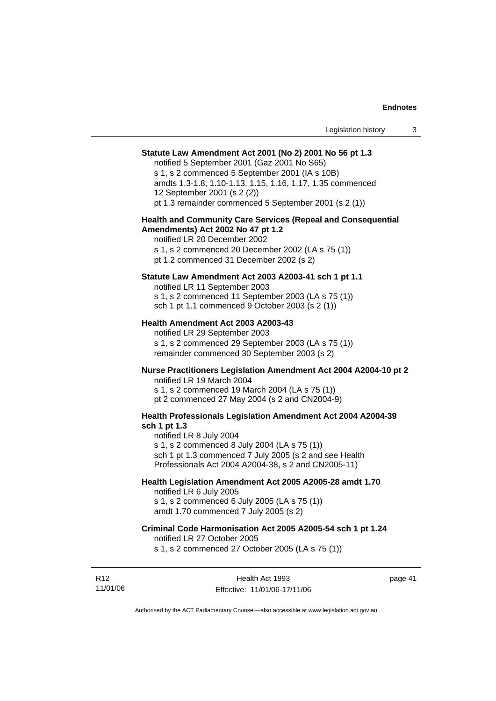#### **Statute Law Amendment Act 2001 (No 2) 2001 No 56 pt 1.3**

notified 5 September 2001 (Gaz 2001 No S65)

s 1, s 2 commenced 5 September 2001 (IA s 10B) amdts 1.3-1.8, 1.10-1.13, 1.15, 1.16, 1.17, 1.35 commenced 12 September 2001 (s 2 (2)) pt 1.3 remainder commenced 5 September 2001 (s 2 (1))

#### **Health and Community Care Services (Repeal and Consequential Amendments) Act 2002 No 47 pt 1.2**

notified LR 20 December 2002 s 1, s 2 commenced 20 December 2002 (LA s 75 (1)) pt 1.2 commenced 31 December 2002 (s 2)

#### **Statute Law Amendment Act 2003 A2003-41 sch 1 pt 1.1**

notified LR 11 September 2003 s 1, s 2 commenced 11 September 2003 (LA s 75 (1)) sch 1 pt 1.1 commenced 9 October 2003 (s 2 (1))

#### **Health Amendment Act 2003 A2003-43**

notified LR 29 September 2003 s 1, s 2 commenced 29 September 2003 (LA s 75 (1)) remainder commenced 30 September 2003 (s 2)

## **Nurse Practitioners Legislation Amendment Act 2004 A2004-10 pt 2**

notified LR 19 March 2004 s 1, s 2 commenced 19 March 2004 (LA s 75 (1)) pt 2 commenced 27 May 2004 (s 2 and CN2004-9)

#### **Health Professionals Legislation Amendment Act 2004 A2004-39 sch 1 pt 1.3**

notified LR 8 July 2004 s 1, s 2 commenced 8 July 2004 (LA s 75 (1)) sch 1 pt 1.3 commenced 7 July 2005 (s 2 and see Health Professionals Act 2004 A2004-38, s 2 and CN2005-11)

#### **Health Legislation Amendment Act 2005 A2005-28 amdt 1.70**

notified LR 6 July 2005 s 1, s 2 commenced 6 July 2005 (LA s 75 (1)) amdt 1.70 commenced 7 July 2005 (s 2)

#### **Criminal Code Harmonisation Act 2005 A2005-54 sch 1 pt 1.24**

notified LR 27 October 2005

s 1, s 2 commenced 27 October 2005 (LA s 75 (1))

R12 11/01/06 page 41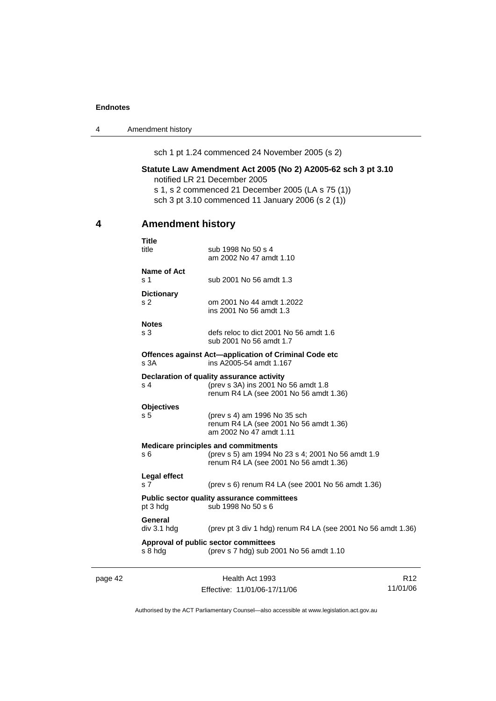4 Amendment history

sch 1 pt 1.24 commenced 24 November 2005 (s 2)

#### **Statute Law Amendment Act 2005 (No 2) A2005-62 sch 3 pt 3.10**  notified LR 21 December 2005

s 1, s 2 commenced 21 December 2005 (LA s 75 (1)) sch 3 pt 3.10 commenced 11 January 2006 (s 2 (1))

## **4 Amendment history**

| <b>Title</b><br>title                                                               | sub 1998 No 50 s 4<br>am 2002 No 47 amdt 1.10                                                                                             |  |
|-------------------------------------------------------------------------------------|-------------------------------------------------------------------------------------------------------------------------------------------|--|
| Name of Act<br>s 1                                                                  | sub 2001 No 56 amdt 1.3                                                                                                                   |  |
| <b>Dictionary</b><br>s <sub>2</sub>                                                 | om 2001 No 44 amdt 1.2022<br>ins 2001 No 56 amdt 1.3                                                                                      |  |
| <b>Notes</b><br>s <sub>3</sub>                                                      | defs reloc to dict 2001 No 56 amdt 1.6<br>sub 2001 No 56 amdt 1.7                                                                         |  |
| s <sub>3A</sub>                                                                     | Offences against Act-application of Criminal Code etc<br>ins A2005-54 amdt 1.167                                                          |  |
| s 4                                                                                 | Declaration of quality assurance activity<br>(prev s 3A) ins 2001 No 56 amdt 1.8<br>renum R4 LA (see 2001 No 56 amdt 1.36)                |  |
| <b>Objectives</b><br>s <sub>5</sub>                                                 | (prev s 4) am 1996 No 35 sch<br>renum R4 LA (see 2001 No 56 amdt 1.36)<br>am 2002 No 47 amdt 1.11                                         |  |
| s 6                                                                                 | <b>Medicare principles and commitments</b><br>(prev s 5) am 1994 No 23 s 4; 2001 No 56 amdt 1.9<br>renum R4 LA (see 2001 No 56 amdt 1.36) |  |
| Legal effect<br>s <sub>7</sub>                                                      | (prev s 6) renum R4 LA (see 2001 No 56 amdt 1.36)                                                                                         |  |
| <b>Public sector quality assurance committees</b><br>pt 3 hdg<br>sub 1998 No 50 s 6 |                                                                                                                                           |  |
| General<br>div 3.1 hdg                                                              | (prev pt 3 div 1 hdg) renum R4 LA (see 2001 No 56 amdt 1.36)                                                                              |  |
| s 8 hdg                                                                             | Approval of public sector committees<br>(prev s 7 hdg) sub 2001 No 56 amdt 1.10                                                           |  |

page 42 Health Act 1993 Effective: 11/01/06-17/11/06

R12 11/01/06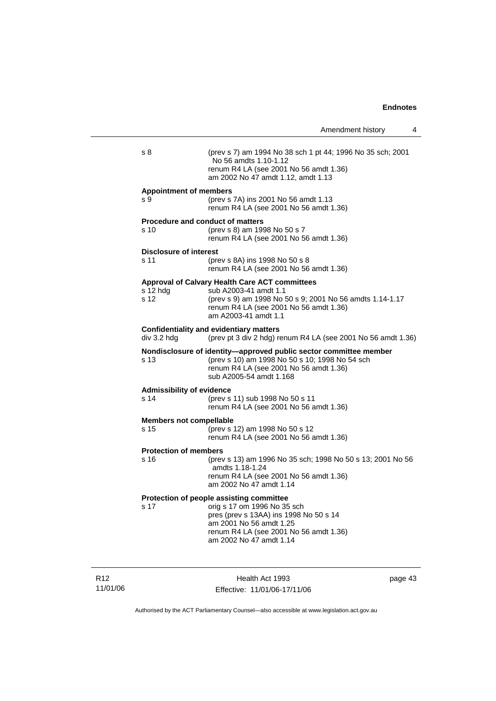|                                                 | Amendment history                                                                                                                                                                                                 | 4 |
|-------------------------------------------------|-------------------------------------------------------------------------------------------------------------------------------------------------------------------------------------------------------------------|---|
| s 8                                             | (prev s 7) am 1994 No 38 sch 1 pt 44; 1996 No 35 sch; 2001<br>No 56 amdts 1.10-1.12<br>renum R4 LA (see 2001 No 56 amdt 1.36)<br>am 2002 No 47 amdt 1.12, amdt 1.13                                               |   |
| <b>Appointment of members</b><br>s 9            | (prev s 7A) ins 2001 No 56 amdt 1.13<br>renum R4 LA (see 2001 No 56 amdt 1.36)                                                                                                                                    |   |
| <b>Procedure and conduct of matters</b><br>s 10 | (prev s 8) am 1998 No 50 s 7<br>renum R4 LA (see 2001 No 56 amdt 1.36)                                                                                                                                            |   |
| <b>Disclosure of interest</b><br>s 11           | (prev s 8A) ins 1998 No 50 s 8<br>renum R4 LA (see 2001 No 56 amdt 1.36)                                                                                                                                          |   |
| s 12 hdg<br>s 12                                | Approval of Calvary Health Care ACT committees<br>sub A2003-41 amdt 1.1<br>(prev s 9) am 1998 No 50 s 9; 2001 No 56 amdts 1.14-1.17<br>renum R4 LA (see 2001 No 56 amdt 1.36)<br>am A2003-41 amdt 1.1             |   |
| div 3.2 hdg                                     | <b>Confidentiality and evidentiary matters</b><br>(prev pt 3 div 2 hdg) renum R4 LA (see 2001 No 56 amdt 1.36)                                                                                                    |   |
| s 13                                            | Nondisclosure of identity-approved public sector committee member<br>(prev s 10) am 1998 No 50 s 10; 1998 No 54 sch<br>renum R4 LA (see 2001 No 56 amdt 1.36)<br>sub A2005-54 amdt 1.168                          |   |
| <b>Admissibility of evidence</b><br>s 14        | (prev s 11) sub 1998 No 50 s 11<br>renum R4 LA (see 2001 No 56 amdt 1.36)                                                                                                                                         |   |
| <b>Members not compellable</b><br>s 15          | (prev s 12) am 1998 No 50 s 12<br>renum R4 LA (see 2001 No 56 amdt 1.36)                                                                                                                                          |   |
| <b>Protection of members</b><br>s 16            | (prev s 13) am 1996 No 35 sch; 1998 No 50 s 13; 2001 No 56<br>amdts 1.18-1.24<br>renum R4 LA (see 2001 No 56 amdt 1.36)<br>am 2002 No 47 amdt 1.14                                                                |   |
| s 17                                            | Protection of people assisting committee<br>orig s 17 om 1996 No 35 sch<br>pres (prev s 13AA) ins 1998 No 50 s 14<br>am 2001 No 56 amdt 1.25<br>renum R4 LA (see 2001 No 56 amdt 1.36)<br>am 2002 No 47 amdt 1.14 |   |

R12 11/01/06

Health Act 1993 Effective: 11/01/06-17/11/06 page 43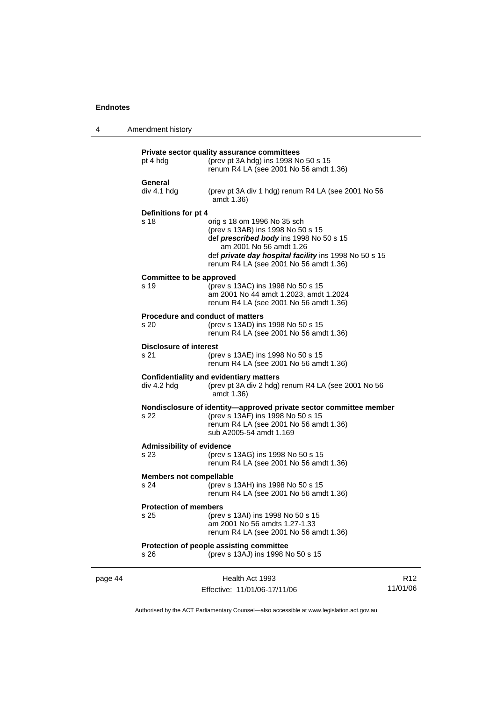| 4 | Amendment history |
|---|-------------------|
|---|-------------------|

|         | pt 4 hdg                                        | Private sector quality assurance committees<br>(prev pt 3A hdg) ins 1998 No 50 s 15<br>renum R4 LA (see 2001 No 56 amdt 1.36)                                                                                                                    |
|---------|-------------------------------------------------|--------------------------------------------------------------------------------------------------------------------------------------------------------------------------------------------------------------------------------------------------|
|         | General<br>div 4.1 hdg                          | (prev pt 3A div 1 hdg) renum R4 LA (see 2001 No 56<br>amdt 1.36)                                                                                                                                                                                 |
|         | Definitions for pt 4<br>s 18                    | orig s 18 om 1996 No 35 sch<br>(prev s 13AB) ins 1998 No 50 s 15<br>def <i>prescribed body</i> ins 1998 No 50 s 15<br>am 2001 No 56 amdt 1.26<br>def private day hospital facility ins 1998 No 50 s 15<br>renum R4 LA (see 2001 No 56 amdt 1.36) |
|         | <b>Committee to be approved</b><br>s 19         | (prev s 13AC) ins 1998 No 50 s 15<br>am 2001 No 44 amdt 1.2023, amdt 1.2024<br>renum R4 LA (see 2001 No 56 amdt 1.36)                                                                                                                            |
|         | <b>Procedure and conduct of matters</b><br>s 20 | (prev s 13AD) ins 1998 No 50 s 15<br>renum R4 LA (see 2001 No 56 amdt 1.36)                                                                                                                                                                      |
|         | <b>Disclosure of interest</b><br>s 21           | (prev s 13AE) ins 1998 No 50 s 15<br>renum R4 LA (see 2001 No 56 amdt 1.36)                                                                                                                                                                      |
|         | div 4.2 hdg                                     | <b>Confidentiality and evidentiary matters</b><br>(prev pt 3A div 2 hdg) renum R4 LA (see 2001 No 56<br>amdt 1.36)                                                                                                                               |
|         | s 22                                            | Nondisclosure of identity-approved private sector committee member<br>(prev s 13AF) ins 1998 No 50 s 15<br>renum R4 LA (see 2001 No 56 amdt 1.36)<br>sub A2005-54 amdt 1.169                                                                     |
|         | <b>Admissibility of evidence</b><br>s 23        | (prev s 13AG) ins 1998 No 50 s 15<br>renum R4 LA (see 2001 No 56 amdt 1.36)                                                                                                                                                                      |
|         | <b>Members not compellable</b><br>s 24          | (prev s 13AH) ins 1998 No 50 s 15<br>renum R4 LA (see 2001 No 56 amdt 1.36)                                                                                                                                                                      |
|         | <b>Protection of members</b><br>s 25            | (prev s 13AI) ins 1998 No 50 s 15<br>am 2001 No 56 amdts 1.27-1.33<br>renum R4 LA (see 2001 No 56 amdt 1.36)                                                                                                                                     |
|         | s 26                                            | Protection of people assisting committee<br>(prev s 13AJ) ins 1998 No 50 s 15                                                                                                                                                                    |
| page 44 |                                                 | Health Act 1993                                                                                                                                                                                                                                  |

Authorised by the ACT Parliamentary Counsel—also accessible at www.legislation.act.gov.au

R12 11/01/06

Effective: 11/01/06-17/11/06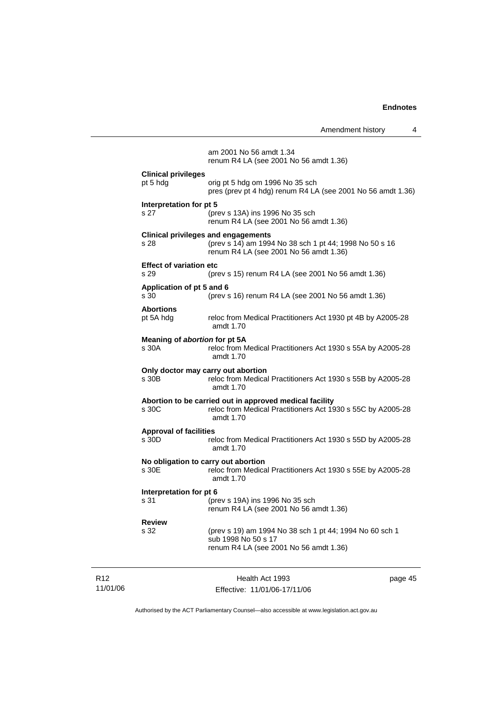|                                                                                                                          | Amendment history                                                                                                                              | 4       |  |
|--------------------------------------------------------------------------------------------------------------------------|------------------------------------------------------------------------------------------------------------------------------------------------|---------|--|
|                                                                                                                          | am 2001 No 56 amdt 1.34<br>renum R4 LA (see 2001 No 56 amdt 1.36)                                                                              |         |  |
| <b>Clinical privileges</b><br>pt 5 hdg                                                                                   | orig pt 5 hdg om 1996 No 35 sch<br>pres (prev pt 4 hdg) renum R4 LA (see 2001 No 56 amdt 1.36)                                                 |         |  |
| Interpretation for pt 5<br>s <sub>27</sub>                                                                               | (prev s 13A) ins 1996 No 35 sch<br>renum R4 LA (see 2001 No 56 amdt 1.36)                                                                      |         |  |
| s 28                                                                                                                     | <b>Clinical privileges and engagements</b><br>(prev s 14) am 1994 No 38 sch 1 pt 44; 1998 No 50 s 16<br>renum R4 LA (see 2001 No 56 amdt 1.36) |         |  |
| <b>Effect of variation etc</b><br>s 29                                                                                   | (prev s 15) renum R4 LA (see 2001 No 56 amdt 1.36)                                                                                             |         |  |
| Application of pt 5 and 6<br>s 30                                                                                        | (prev s 16) renum R4 LA (see 2001 No 56 amdt 1.36)                                                                                             |         |  |
| <b>Abortions</b><br>pt 5A hdg                                                                                            | reloc from Medical Practitioners Act 1930 pt 4B by A2005-28<br>amdt 1.70                                                                       |         |  |
| Meaning of abortion for pt 5A<br>s 30A                                                                                   | reloc from Medical Practitioners Act 1930 s 55A by A2005-28<br>amdt 1.70                                                                       |         |  |
| s 30B                                                                                                                    | Only doctor may carry out abortion<br>reloc from Medical Practitioners Act 1930 s 55B by A2005-28<br>amdt 1.70                                 |         |  |
| s 30C                                                                                                                    | Abortion to be carried out in approved medical facility<br>reloc from Medical Practitioners Act 1930 s 55C by A2005-28<br>amdt 1.70            |         |  |
| <b>Approval of facilities</b><br>s 30D                                                                                   | reloc from Medical Practitioners Act 1930 s 55D by A2005-28<br>amdt $1.70$                                                                     |         |  |
| No obligation to carry out abortion<br>s 30E<br>reloc from Medical Practitioners Act 1930 s 55E by A2005-28<br>amdt 1.70 |                                                                                                                                                |         |  |
| Interpretation for pt 6<br>s 31                                                                                          | (prev s 19A) ins 1996 No 35 sch<br>renum R4 LA (see 2001 No 56 amdt 1.36)                                                                      |         |  |
| <b>Review</b><br>s 32                                                                                                    | (prev s 19) am 1994 No 38 sch 1 pt 44; 1994 No 60 sch 1<br>sub 1998 No 50 s 17<br>renum R4 LA (see 2001 No 56 amdt 1.36)                       |         |  |
|                                                                                                                          | Health Act 1993                                                                                                                                | page 45 |  |

Authorised by the ACT Parliamentary Counsel—also accessible at www.legislation.act.gov.au

Effective: 11/01/06-17/11/06

R12 11/01/06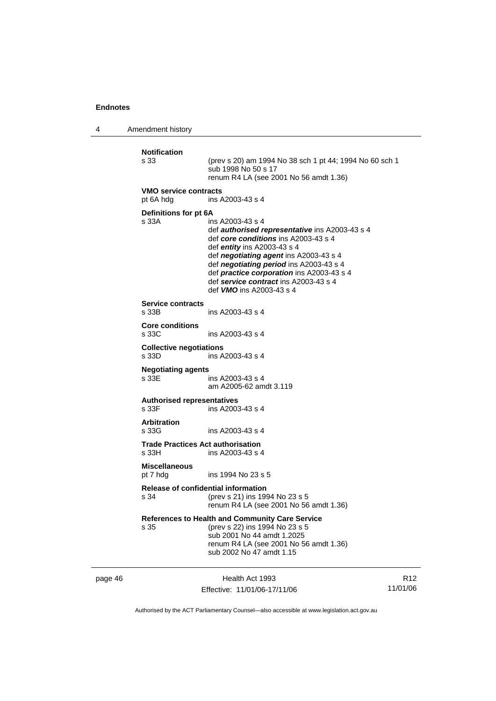page 46

4 Amendment history

| <b>Notification</b><br>s 33                | (prev s 20) am 1994 No 38 sch 1 pt 44; 1994 No 60 sch 1<br>sub 1998 No 50 s 17<br>renum R4 LA (see 2001 No 56 amdt 1.36)                                                                                                                                                                                                                                         |                 |
|--------------------------------------------|------------------------------------------------------------------------------------------------------------------------------------------------------------------------------------------------------------------------------------------------------------------------------------------------------------------------------------------------------------------|-----------------|
| <b>VMO service contracts</b><br>pt 6A hdg  | ins A2003-43 s 4                                                                                                                                                                                                                                                                                                                                                 |                 |
| Definitions for pt 6A<br>s 33A             | ins A2003-43 s 4<br>def <i>authorised representative</i> ins A2003-43 s 4<br>def core conditions ins A2003-43 s 4<br>def entity ins $A2003-43 s 4$<br>def negotiating agent ins A2003-43 s 4<br>def negotiating period ins A2003-43 s 4<br>def practice corporation ins A2003-43 s 4<br>def service contract ins A2003-43 s 4<br>def <b>VMO</b> ins A2003-43 s 4 |                 |
| <b>Service contracts</b><br>s 33B          | ins A2003-43 s 4                                                                                                                                                                                                                                                                                                                                                 |                 |
| <b>Core conditions</b><br>s 33C            | ins A2003-43 s 4                                                                                                                                                                                                                                                                                                                                                 |                 |
| <b>Collective negotiations</b><br>s 33D    | ins A2003-43 s 4                                                                                                                                                                                                                                                                                                                                                 |                 |
| <b>Negotiating agents</b><br>s 33E         | ins A2003-43 s 4<br>am A2005-62 amdt 3.119                                                                                                                                                                                                                                                                                                                       |                 |
| <b>Authorised representatives</b><br>s 33F | ins A2003-43 s 4                                                                                                                                                                                                                                                                                                                                                 |                 |
| <b>Arbitration</b><br>s 33G                | ins A2003-43 s 4                                                                                                                                                                                                                                                                                                                                                 |                 |
| s 33H                                      | <b>Trade Practices Act authorisation</b><br>ins A2003-43 s 4                                                                                                                                                                                                                                                                                                     |                 |
| <b>Miscellaneous</b><br>pt 7 hdg           | ins 1994 No 23 s 5                                                                                                                                                                                                                                                                                                                                               |                 |
| s 34                                       | <b>Release of confidential information</b><br>(prev s 21) ins 1994 No 23 s 5<br>renum R4 LA (see 2001 No 56 amdt 1.36)                                                                                                                                                                                                                                           |                 |
| s 35                                       | References to Health and Community Care Service<br>(prev s 22) ins 1994 No 23 s 5<br>sub 2001 No 44 amdt 1.2025<br>renum R4 LA (see 2001 No 56 amdt 1.36)<br>sub 2002 No 47 amdt 1.15                                                                                                                                                                            |                 |
|                                            | Health Act 1993                                                                                                                                                                                                                                                                                                                                                  | R <sub>12</sub> |

Effective: 11/01/06-17/11/06

11/01/06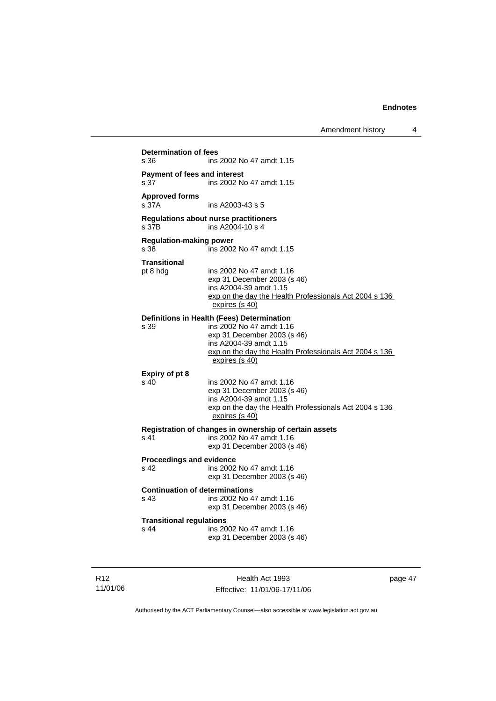| s 36                                                   | ins 2002 No 47 amdt 1.15                                                                                                                                                                                    |
|--------------------------------------------------------|-------------------------------------------------------------------------------------------------------------------------------------------------------------------------------------------------------------|
| <b>Payment of fees and interest</b><br>s <sub>37</sub> | ins 2002 No 47 amdt 1.15                                                                                                                                                                                    |
| <b>Approved forms</b><br>s 37A                         | ins A2003-43 s 5                                                                                                                                                                                            |
| s 37B                                                  | Regulations about nurse practitioners<br>ins A2004-10 s 4                                                                                                                                                   |
| <b>Regulation-making power</b><br>s 38                 | ins 2002 No 47 amdt 1.15                                                                                                                                                                                    |
| <b>Transitional</b><br>pt 8 hdg                        | ins 2002 No 47 amdt 1.16<br>exp 31 December 2003 (s 46)<br>ins A2004-39 amdt 1.15<br>exp on the day the Health Professionals Act 2004 s 136<br>expires (s 40)                                               |
| s 39                                                   | Definitions in Health (Fees) Determination<br>ins 2002 No 47 amdt 1.16<br>exp 31 December 2003 (s 46)<br>ins A2004-39 amdt 1.15<br>exp on the day the Health Professionals Act 2004 s 136<br>expires (s 40) |
| Expiry of pt 8<br>$\sin 40$                            | ins 2002 No 47 amdt 1.16<br>exp 31 December 2003 (s 46)<br>ins A2004-39 amdt 1.15<br>exp on the day the Health Professionals Act 2004 s 136<br>expires (s 40)                                               |
| s <sub>41</sub>                                        | Registration of changes in ownership of certain assets<br>ins 2002 No 47 amdt 1.16<br>exp 31 December 2003 (s 46)                                                                                           |
| <b>Proceedings and evidence</b><br>s 42                | ins 2002 No 47 amdt 1.16<br>exp 31 December 2003 (s 46)                                                                                                                                                     |
| <b>Continuation of determinations</b><br>s 43          | ins 2002 No 47 amdt 1.16<br>exp 31 December 2003 (s 46)                                                                                                                                                     |
|                                                        | <b>Transitional regulations</b>                                                                                                                                                                             |

R12 11/01/06

Health Act 1993 Effective: 11/01/06-17/11/06 page 47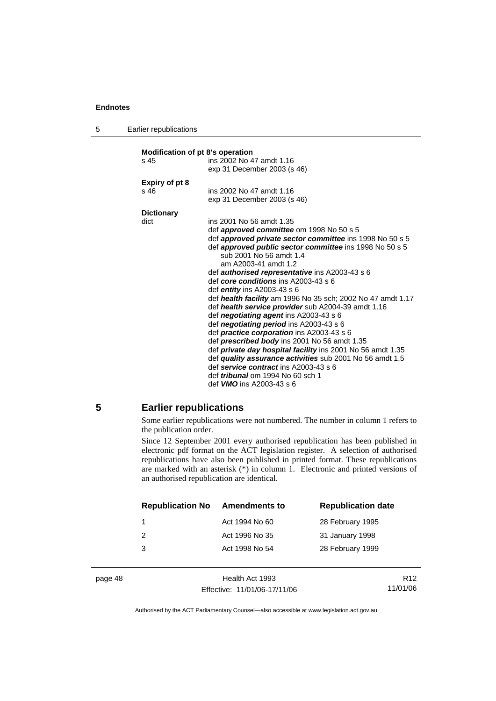| -5 | Earlier republications |
|----|------------------------|
|----|------------------------|

| Modification of pt 8's operation |                                                                   |  |  |
|----------------------------------|-------------------------------------------------------------------|--|--|
| ins 2002 No 47 amdt 1.16<br>s 45 |                                                                   |  |  |
|                                  | exp 31 December 2003 (s 46)                                       |  |  |
|                                  |                                                                   |  |  |
| <b>Expiry of pt 8</b><br>s 46    | ins 2002 No 47 amdt 1.16                                          |  |  |
|                                  | exp 31 December 2003 (s 46)                                       |  |  |
|                                  |                                                                   |  |  |
| <b>Dictionary</b>                |                                                                   |  |  |
| dict                             | ins 2001 No 56 amdt 1.35                                          |  |  |
|                                  | def approved committee om 1998 No 50 s 5                          |  |  |
|                                  | def approved private sector committee ins 1998 No 50 s 5          |  |  |
|                                  | def <b>approved public sector committee</b> ins 1998 No 50 s 5    |  |  |
|                                  | sub 2001 No 56 amdt 1.4                                           |  |  |
|                                  | am A2003-41 amdt 1.2                                              |  |  |
|                                  | def <b>authorised representative</b> ins A2003-43 s 6             |  |  |
|                                  | def core conditions ins A2003-43 s 6                              |  |  |
|                                  | def $\epsilon$ ntity ins A2003-43 s 6                             |  |  |
|                                  | def health facility am 1996 No 35 sch; 2002 No 47 amdt 1.17       |  |  |
|                                  | def health service provider sub A2004-39 amdt 1.16                |  |  |
|                                  | def negotiating agent ins A2003-43 s 6                            |  |  |
|                                  | def <i>negotiating period</i> ins A2003-43 s 6                    |  |  |
|                                  | def practice corporation ins A2003-43 s 6                         |  |  |
|                                  | def <i>prescribed body</i> ins 2001 No 56 amdt 1.35               |  |  |
|                                  | def <i>private day hospital facility</i> ins 2001 No 56 amdt 1.35 |  |  |
|                                  | def quality assurance activities sub 2001 No 56 amdt 1.5          |  |  |
|                                  | def service contract ins A2003-43 s 6                             |  |  |
|                                  | def <i>tribunal</i> om 1994 No 60 sch 1                           |  |  |
|                                  | def <b>VMO</b> ins A2003-43 s 6                                   |  |  |

#### **5 Earlier republications**

Some earlier republications were not numbered. The number in column 1 refers to the publication order.

Since 12 September 2001 every authorised republication has been published in electronic pdf format on the ACT legislation register. A selection of authorised republications have also been published in printed format. These republications are marked with an asterisk  $(*)$  in column 1. Electronic and printed versions of an authorised republication are identical.

| <b>Republication No</b> | <b>Amendments to</b> | <b>Republication date</b> |
|-------------------------|----------------------|---------------------------|
| 1                       | Act 1994 No 60       | 28 February 1995          |
| 2                       | Act 1996 No 35       | 31 January 1998           |
| 3                       | Act 1998 No 54       | 28 February 1999          |
|                         |                      |                           |

page 48 Health Act 1993 Effective: 11/01/06-17/11/06

R12 11/01/06